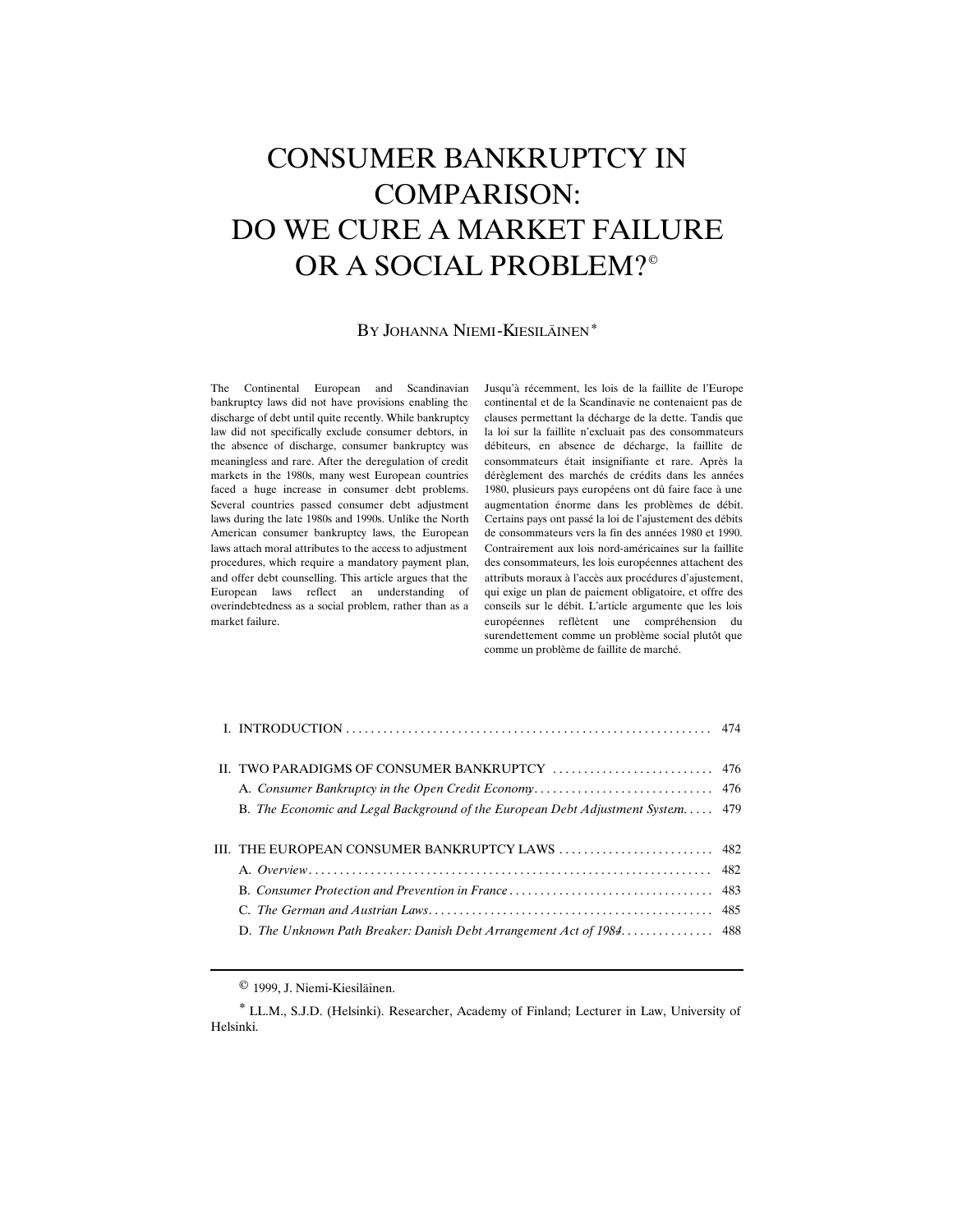# CONSUMER BANKRUPTCY IN COMPARISON: DO WE CURE A MARKET FAILURE OR A SOCIAL PROBLEM?*©*

#### BY JOHANNA NIEMI-KIESILÄINEN*\**

The Continental European and Scandinavian bankruptcy laws did not have provisions enabling the discharge of debt until quite recently. While bankruptcy law did not specifically exclude consumer debtors, in the absence of discharge, consumer bankruptcy was meaningless and rare. After the deregulation of credit markets in the 1980s, many west European countries faced a huge increase in consumer debt problems. Several countries passed consumer debt adjustment laws during the late 1980s and 1990s. Unlike the North American consumer bankruptcy laws, the European laws attach moral attributes to the access to adjustment procedures, which require a mandatory payment plan, and offer debt counselling. This article argues that the European laws reflect an understanding of overindebtedness as a social problem, rather than as a market failure.

Jusqu'à récemment, les lois de la faillite de l'Europe continental et de la Scandinavie ne contenaient pas de clauses permettant la décharge de la dette. Tandis que la loi sur la faillite n'excluait pas des consommateurs débiteurs, en absence de décharge, la faillite de consommateurs était insignifiante et rare. Après la dérèglement des marchés de crédits dans les années 1980, plusieurs pays européens ont dû faire face à une augmentation énorme dans les problèmes de débit. Certains pays ont passé la loi de l'ajustement des débits de consommateurs vers la fin des années 1980 et 1990. Contrairement aux lois nord-américaines sur la faillite des consommateurs, les lois européennes attachent des attributs moraux à l'accès aux procédures d'ajustement, qui exige un plan de paiement obligatoire, et offre des conseils sur le débit. L'article argumente que les lois européennes reflètent une compréhension du surendettement comme un problème social plutôt que comme un problème de faillite de marché.

| B. The Economic and Legal Background of the European Debt Adjustment System 479 |  |
|---------------------------------------------------------------------------------|--|
|                                                                                 |  |
|                                                                                 |  |
|                                                                                 |  |
|                                                                                 |  |
|                                                                                 |  |
|                                                                                 |  |
|                                                                                 |  |

*©* 1999, J. Niemi-Kiesiläinen.

*\** LL.M., S.J.D. (Helsinki). Researcher, Academy of Finland; Lecturer in Law, University of Helsinki.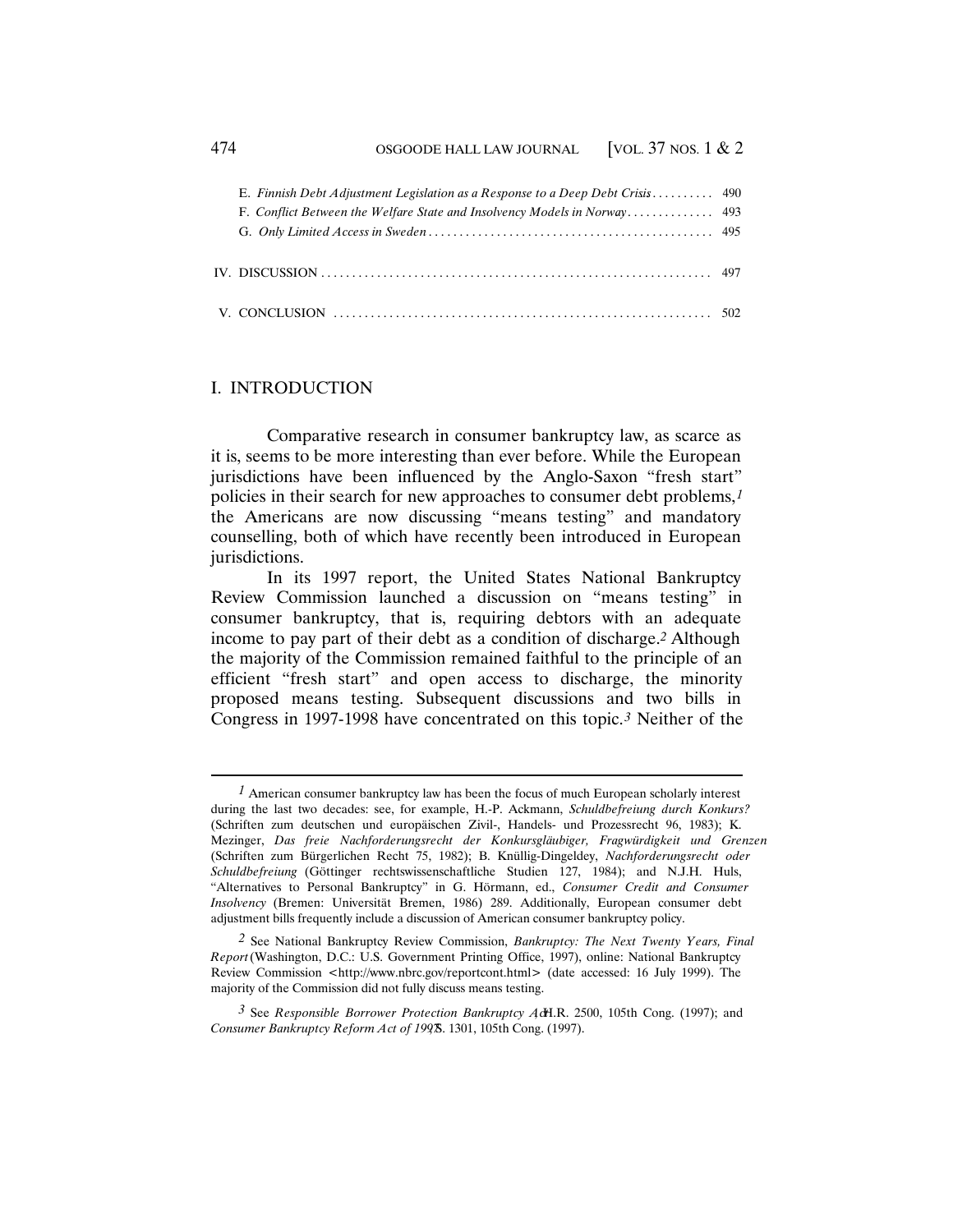| E. Finnish Debt Adjustment Legislation as a Response to a Deep Debt Crisis 490 |  |
|--------------------------------------------------------------------------------|--|
|                                                                                |  |
|                                                                                |  |
|                                                                                |  |
|                                                                                |  |
|                                                                                |  |
|                                                                                |  |
|                                                                                |  |

# I. INTRODUCTION

Comparative research in consumer bankruptcy law, as scarce as it is, seems to be more interesting than ever before. While the European jurisdictions have been influenced by the Anglo-Saxon "fresh start" policies in their search for new approaches to consumer debt problems,*1* the Americans are now discussing "means testing" and mandatory counselling, both of which have recently been introduced in European jurisdictions.

In its 1997 report, the United States National Bankruptcy Review Commission launched a discussion on "means testing" in consumer bankruptcy, that is, requiring debtors with an adequate income to pay part of their debt as a condition of discharge.*2* Although the majority of the Commission remained faithful to the principle of an efficient "fresh start" and open access to discharge, the minority proposed means testing. Subsequent discussions and two bills in Congress in 1997-1998 have concentrated on this topic.*3* Neither of the

*<sup>1</sup>* American consumer bankruptcy law has been the focus of much European scholarly interest during the last two decades: see, for example, H.-P. Ackmann, *Schuldbefreiung durch Konkurs?* (Schriften zum deutschen und europäischen Zivil-, Handels- und Prozessrecht 96, 1983); K. Mezinger, *Das freie Nachforderungsrecht der Konkursgläubiger, Fragwürdigkeit und Grenzen* (Schriften zum Bürgerlichen Recht 75, 1982); B. Knüllig-Dingeldey, *Nachforderungsrecht oder Schuldbefreiung* (Göttinger rechtswissenschaftliche Studien 127, 1984); and N.J.H. Huls, "Alternatives to Personal Bankruptcy" in G. Hörmann, ed., *Consumer Credit and Consumer Insolvency* (Bremen: Universität Bremen, 1986) 289. Additionally, European consumer debt adjustment bills frequently include a discussion of American consumer bankruptcy policy.

*<sup>2</sup>* See National Bankruptcy Review Commission, *Bankruptcy: The Next Twenty Years, Final Report* (Washington, D.C.: U.S. Government Printing Office, 1997), online: National Bankruptcy Review Commission <http://www.nbrc.gov/reportcont.html> (date accessed: 16 July 1999). The majority of the Commission did not fully discuss means testing.

<sup>&</sup>lt;sup>3</sup> See *Responsible Borrower Protection Bankruptcy Ac*H.R. 2500, 105th Cong. (1997); and *Consumer Bankruptcy Reform Act of 1997*8. 1301, 105th Cong. (1997).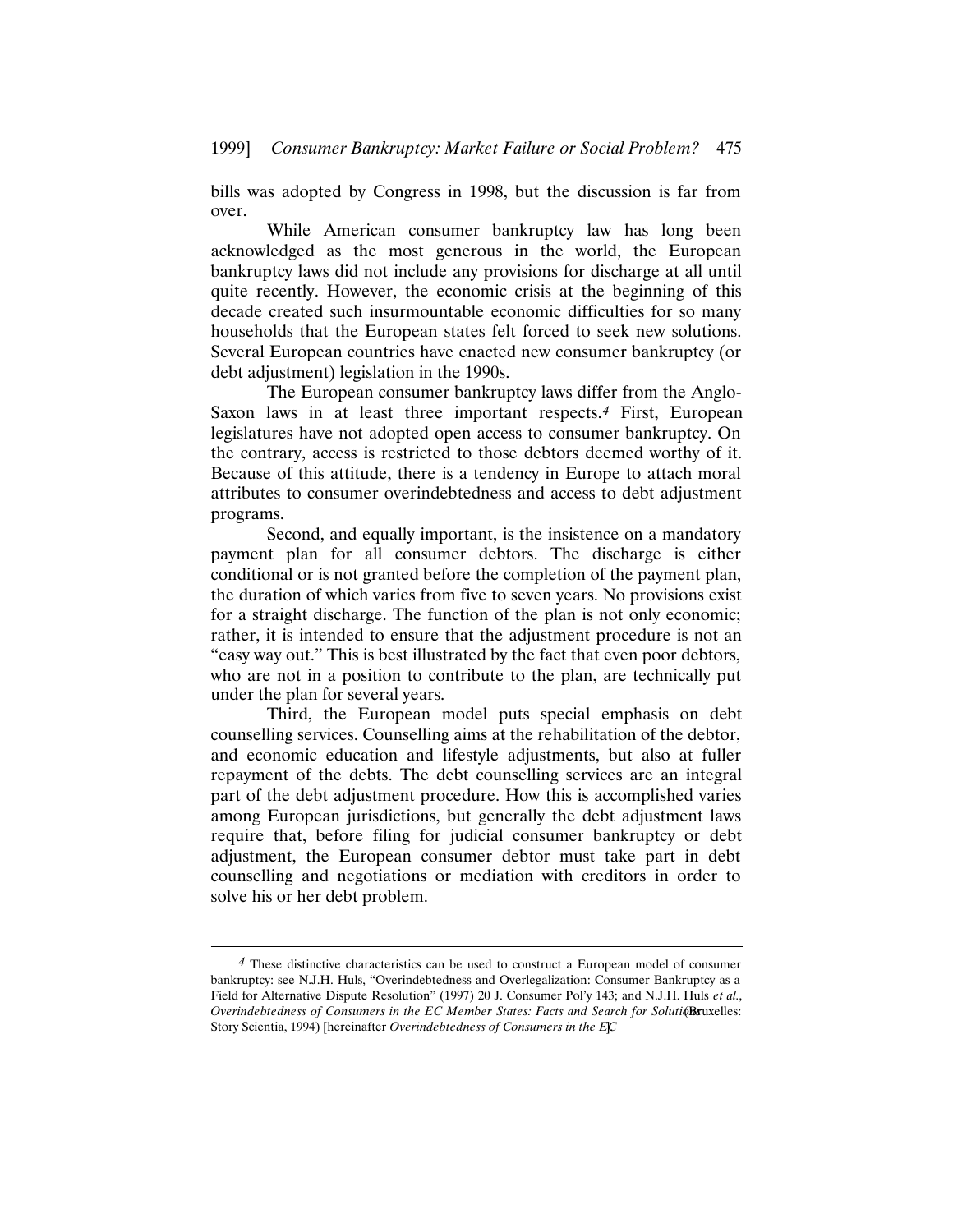bills was adopted by Congress in 1998, but the discussion is far from over.

While American consumer bankruptcy law has long been acknowledged as the most generous in the world, the European bankruptcy laws did not include any provisions for discharge at all until quite recently. However, the economic crisis at the beginning of this decade created such insurmountable economic difficulties for so many households that the European states felt forced to seek new solutions. Several European countries have enacted new consumer bankruptcy (or debt adjustment) legislation in the 1990s.

The European consumer bankruptcy laws differ from the Anglo-Saxon laws in at least three important respects.*4* First, European legislatures have not adopted open access to consumer bankruptcy. On the contrary, access is restricted to those debtors deemed worthy of it. Because of this attitude, there is a tendency in Europe to attach moral attributes to consumer overindebtedness and access to debt adjustment programs.

Second, and equally important, is the insistence on a mandatory payment plan for all consumer debtors. The discharge is either conditional or is not granted before the completion of the payment plan, the duration of which varies from five to seven years. No provisions exist for a straight discharge. The function of the plan is not only economic; rather, it is intended to ensure that the adjustment procedure is not an "easy way out." This is best illustrated by the fact that even poor debtors, who are not in a position to contribute to the plan, are technically put under the plan for several years.

Third, the European model puts special emphasis on debt counselling services. Counselling aims at the rehabilitation of the debtor, and economic education and lifestyle adjustments, but also at fuller repayment of the debts. The debt counselling services are an integral part of the debt adjustment procedure. How this is accomplished varies among European jurisdictions, but generally the debt adjustment laws require that, before filing for judicial consumer bankruptcy or debt adjustment, the European consumer debtor must take part in debt counselling and negotiations or mediation with creditors in order to solve his or her debt problem.

*<sup>4</sup>* These distinctive characteristics can be used to construct a European model of consumer bankruptcy: see N.J.H. Huls, "Overindebtedness and Overlegalization: Consumer Bankruptcy as a Field for Alternative Dispute Resolution" (1997) 20 J. Consumer Pol'y 143; and N.J.H. Huls *et al.*, *Overindebtedness of Consumers in the EC Member States: Facts and Search for Soluti@Bruxelles:* Story Scientia, 1994) [hereinafter *Overindebtedness of Consumers in the EC*].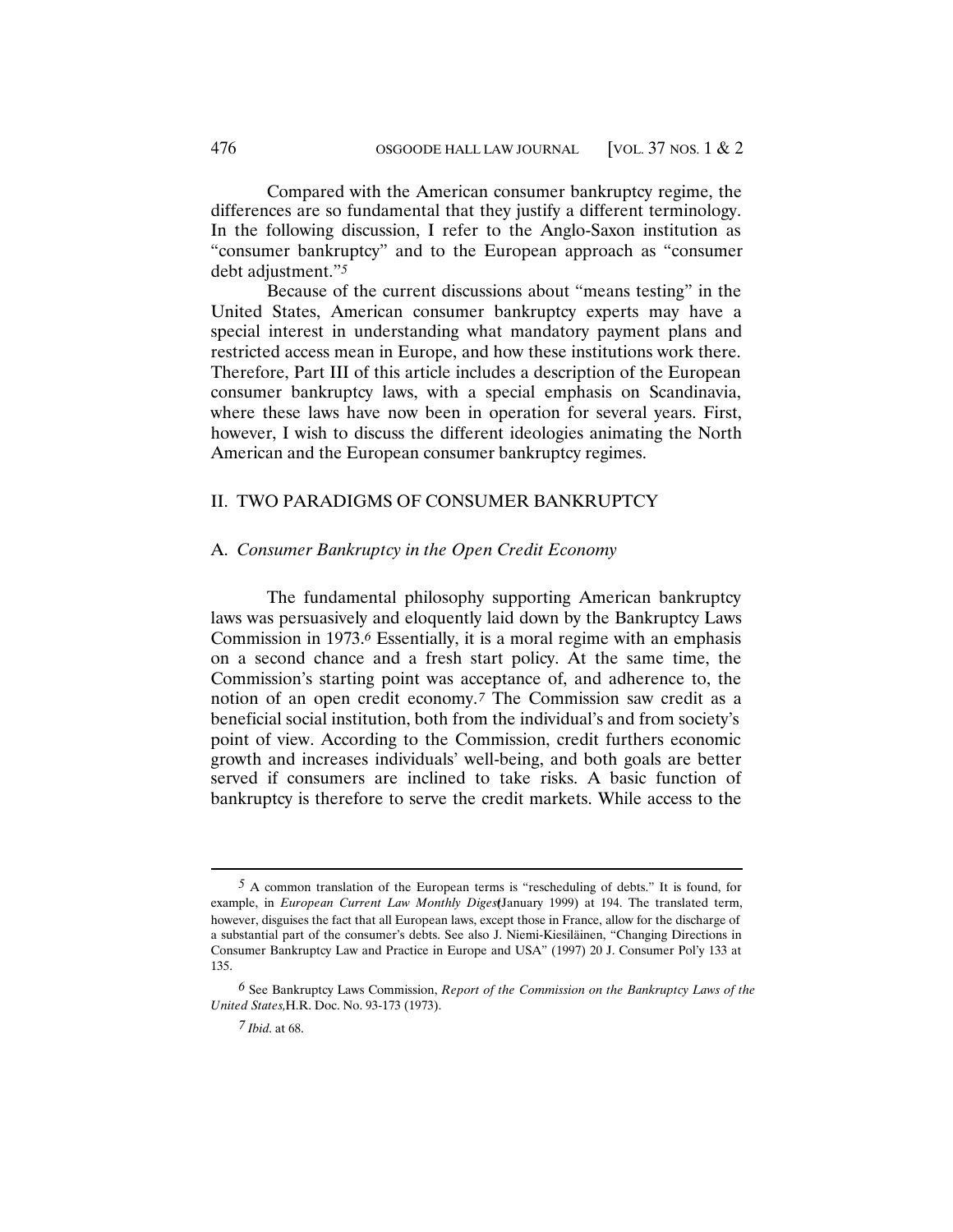Compared with the American consumer bankruptcy regime, the differences are so fundamental that they justify a different terminology. In the following discussion, I refer to the Anglo-Saxon institution as "consumer bankruptcy" and to the European approach as "consumer debt adjustment."*5*

Because of the current discussions about "means testing" in the United States, American consumer bankruptcy experts may have a special interest in understanding what mandatory payment plans and restricted access mean in Europe, and how these institutions work there. Therefore, Part III of this article includes a description of the European consumer bankruptcy laws, with a special emphasis on Scandinavia, where these laws have now been in operation for several years. First, however, I wish to discuss the different ideologies animating the North American and the European consumer bankruptcy regimes.

#### II. TWO PARADIGMS OF CONSUMER BANKRUPTCY

## A. *Consumer Bankruptcy in the Open Credit Economy*

The fundamental philosophy supporting American bankruptcy laws was persuasively and eloquently laid down by the Bankruptcy Laws Commission in 1973.*6* Essentially, it is a moral regime with an emphasis on a second chance and a fresh start policy. At the same time, the Commission's starting point was acceptance of, and adherence to, the notion of an open credit economy.*7* The Commission saw credit as a beneficial social institution, both from the individual's and from society's point of view. According to the Commission, credit furthers economic growth and increases individuals' well-being, and both goals are better served if consumers are inclined to take risks. A basic function of bankruptcy is therefore to serve the credit markets. While access to the

*<sup>5</sup>* A common translation of the European terms is "rescheduling of debts." It is found, for example, in *European Current Law Monthly Diges*(January 1999) at 194. The translated term, however, disguises the fact that all European laws, except those in France, allow for the discharge of a substantial part of the consumer's debts. See also J. Niemi-Kiesiläinen, "Changing Directions in Consumer Bankruptcy Law and Practice in Europe and USA" (1997) 20 J. Consumer Pol'y 133 at 135.

*<sup>6</sup>* See Bankruptcy Laws Commission, *Report of the Commission on the Bankruptcy Laws of the United States,* H.R. Doc. No. 93-173 (1973).

*<sup>7</sup> Ibid.* at 68.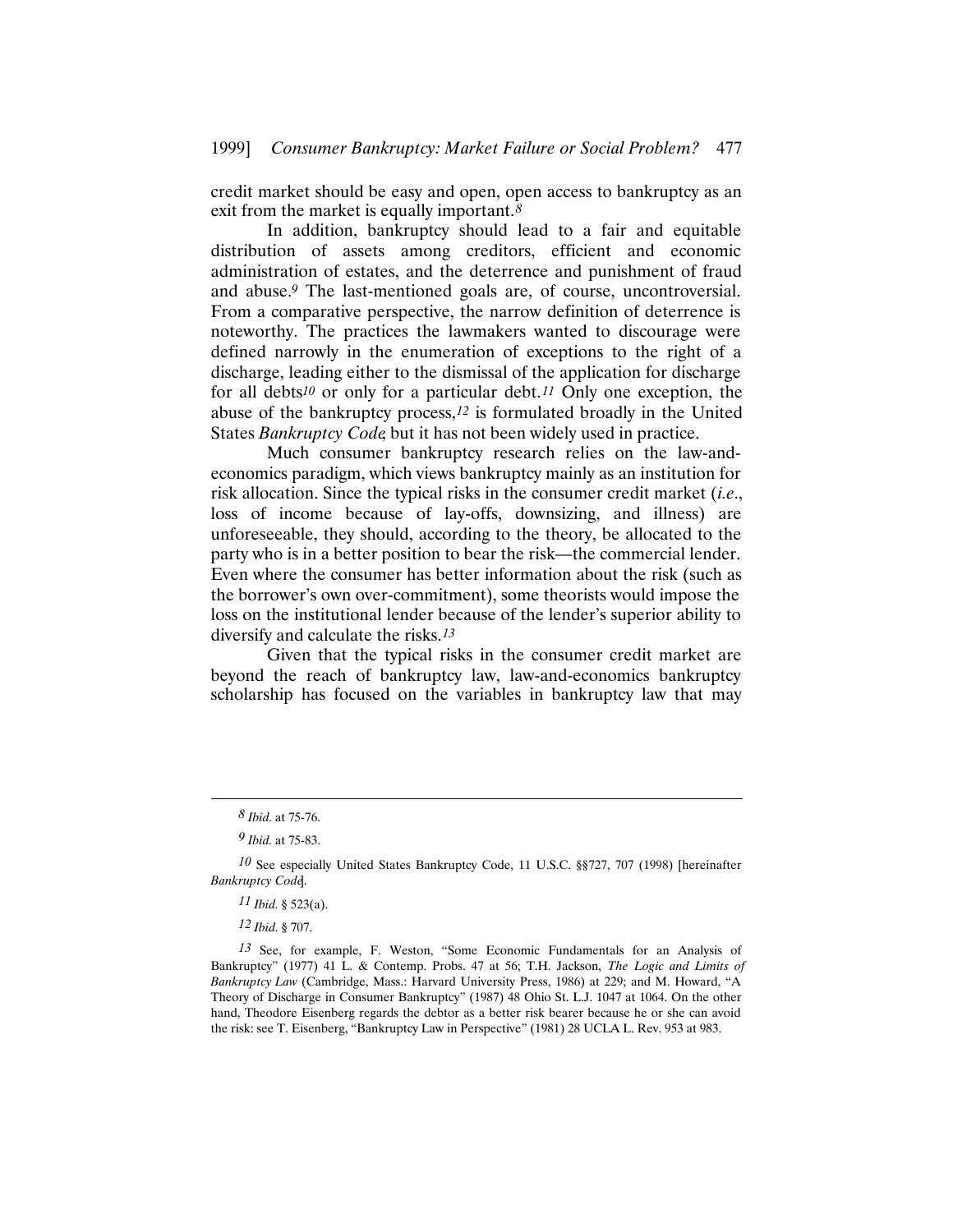credit market should be easy and open, open access to bankruptcy as an exit from the market is equally important.*8*

In addition, bankruptcy should lead to a fair and equitable distribution of assets among creditors, efficient and economic administration of estates, and the deterrence and punishment of fraud and abuse.*9* The last-mentioned goals are, of course, uncontroversial. From a comparative perspective, the narrow definition of deterrence is noteworthy. The practices the lawmakers wanted to discourage were defined narrowly in the enumeration of exceptions to the right of a discharge, leading either to the dismissal of the application for discharge for all debts*10* or only for a particular debt.*11* Only one exception, the abuse of the bankruptcy process,*12* is formulated broadly in the United States *Bankruptcy Code*, but it has not been widely used in practice.

Much consumer bankruptcy research relies on the law-andeconomics paradigm, which views bankruptcy mainly as an institution for risk allocation. Since the typical risks in the consumer credit market (*i.e.*, loss of income because of lay-offs, downsizing, and illness) are unforeseeable, they should, according to the theory, be allocated to the party who is in a better position to bear the risk—the commercial lender. Even where the consumer has better information about the risk (such as the borrower's own over-commitment), some theorists would impose the loss on the institutional lender because of the lender's superior ability to diversify and calculate the risks.*13*

Given that the typical risks in the consumer credit market are beyond the reach of bankruptcy law, law-and-economics bankruptcy scholarship has focused on the variables in bankruptcy law that may

*<sup>8</sup> Ibid.* at 75-76.

*<sup>9</sup> Ibid.* at 75-83.

<sup>10</sup> See especially United States Bankruptcy Code, 11 U.S.C. §§727, 707 (1998) [hereinafter *Bankruptcy Code*].

*<sup>11</sup> Ibid.* § 523(a).

*<sup>12</sup> Ibid.* § 707.

*<sup>13</sup>* See, for example, F. Weston, "Some Economic Fundamentals for an Analysis of Bankruptcy" (1977) 41 L. & Contemp. Probs. 47 at 56; T.H. Jackson, *The Logic and Limits of Bankruptcy Law* (Cambridge, Mass.: Harvard University Press, 1986) at 229; and M. Howard, "A Theory of Discharge in Consumer Bankruptcy" (1987) 48 Ohio St. L.J. 1047 at 1064. On the other hand, Theodore Eisenberg regards the debtor as a better risk bearer because he or she can avoid the risk: see T. Eisenberg, "Bankruptcy Law in Perspective" (1981) 28 UCLA L. Rev. 953 at 983.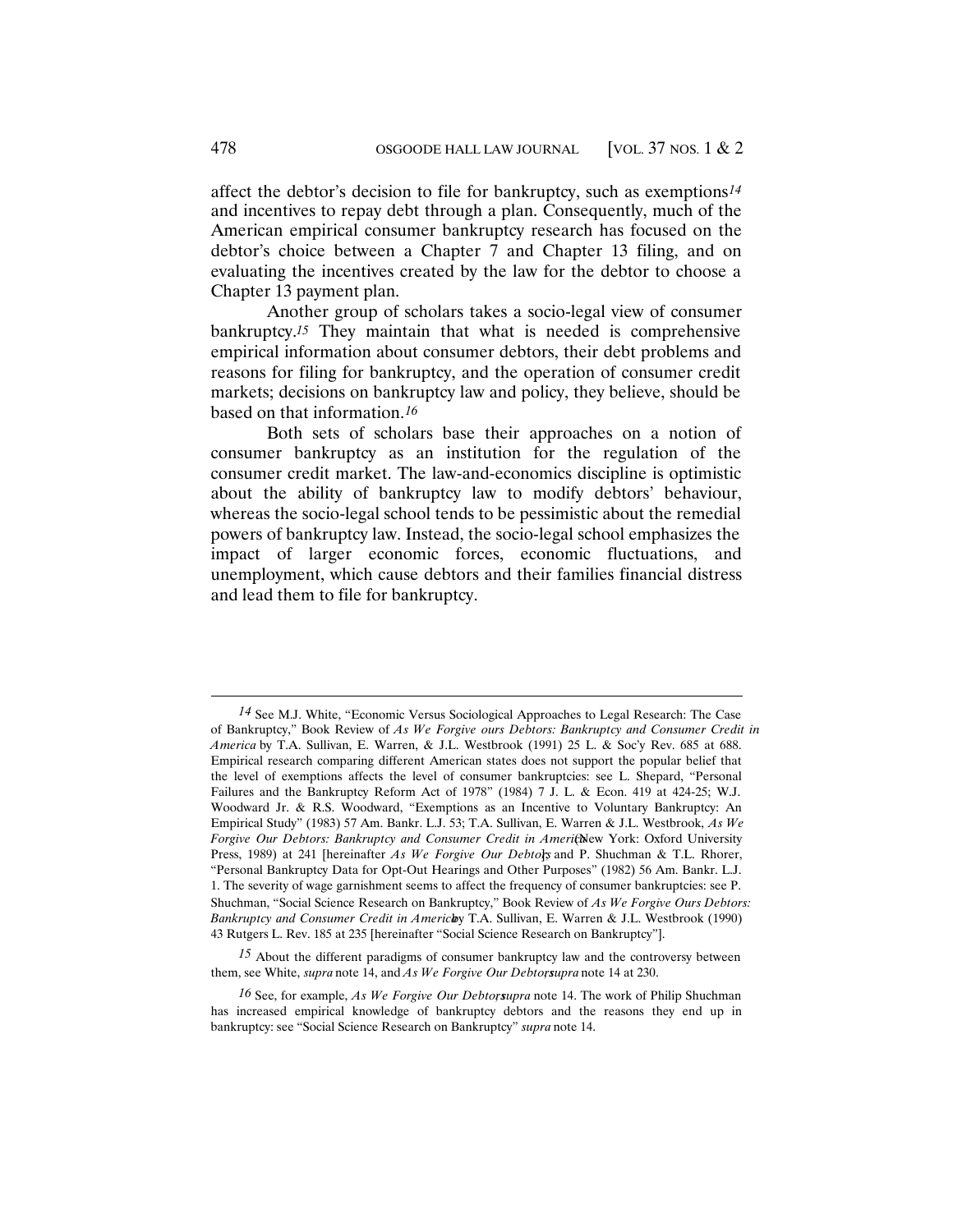affect the debtor's decision to file for bankruptcy, such as exemptions*14* and incentives to repay debt through a plan. Consequently, much of the American empirical consumer bankruptcy research has focused on the debtor's choice between a Chapter 7 and Chapter 13 filing, and on evaluating the incentives created by the law for the debtor to choose a Chapter 13 payment plan.

Another group of scholars takes a socio-legal view of consumer bankruptcy.*15* They maintain that what is needed is comprehensive empirical information about consumer debtors, their debt problems and reasons for filing for bankruptcy, and the operation of consumer credit markets; decisions on bankruptcy law and policy, they believe, should be based on that information.*16*

Both sets of scholars base their approaches on a notion of consumer bankruptcy as an institution for the regulation of the consumer credit market. The law-and-economics discipline is optimistic about the ability of bankruptcy law to modify debtors' behaviour, whereas the socio-legal school tends to be pessimistic about the remedial powers of bankruptcy law. Instead, the socio-legal school emphasizes the impact of larger economic forces, economic fluctuations, and unemployment, which cause debtors and their families financial distress and lead them to file for bankruptcy.

*<sup>14</sup>* See M.J. White, "Economic Versus Sociological Approaches to Legal Research: The Case of Bankruptcy," Book Review of *As We Forgive ours Debtors: Bankruptcy and Consumer Credit in America* by T.A. Sullivan, E. Warren, & J.L. Westbrook (1991) 25 L. & Soc'y Rev. 685 at 688. Empirical research comparing different American states does not support the popular belief that the level of exemptions affects the level of consumer bankruptcies: see L. Shepard, "Personal Failures and the Bankruptcy Reform Act of 1978" (1984) 7 J. L. & Econ. 419 at 424-25; W.J. Woodward Jr. & R.S. Woodward, "Exemptions as an Incentive to Voluntary Bankruptcy: An Empirical Study" (1983) 57 Am. Bankr. L.J. 53; T.A. Sullivan, E. Warren & J.L. Westbrook, *As We* Forgive Our Debtors: Bankruptcy and Consumer Credit in Americhlew York: Oxford University Press, 1989) at 241 [hereinafter *As We Forgive Our Debtors* and P. Shuchman & T.L. Rhorer, "Personal Bankruptcy Data for Opt-Out Hearings and Other Purposes" (1982) 56 Am. Bankr. L.J. 1. The severity of wage garnishment seems to affect the frequency of consumer bankruptcies: see P. Shuchman, "Social Science Research on Bankruptcy," Book Review of *As We Forgive Ours Debtors: Bankruptcy and Consumer Credit in Americlay* T.A. Sullivan, E. Warren & J.L. Westbrook (1990) 43 Rutgers L. Rev. 185 at 235 [hereinafter "Social Science Research on Bankruptcy"].

*<sup>15</sup>* About the different paradigms of consumer bankruptcy law and the controversy between them, see White, *supra* note 14, and *As We Forgive Our Debtors*,*upra* note 14 at 230.

*<sup>16</sup>* See, for example, *As We Forgive Our Debtors*,*upra* note 14. The work of Philip Shuchman has increased empirical knowledge of bankruptcy debtors and the reasons they end up in bankruptcy: see "Social Science Research on Bankruptcy" *supra* note 14.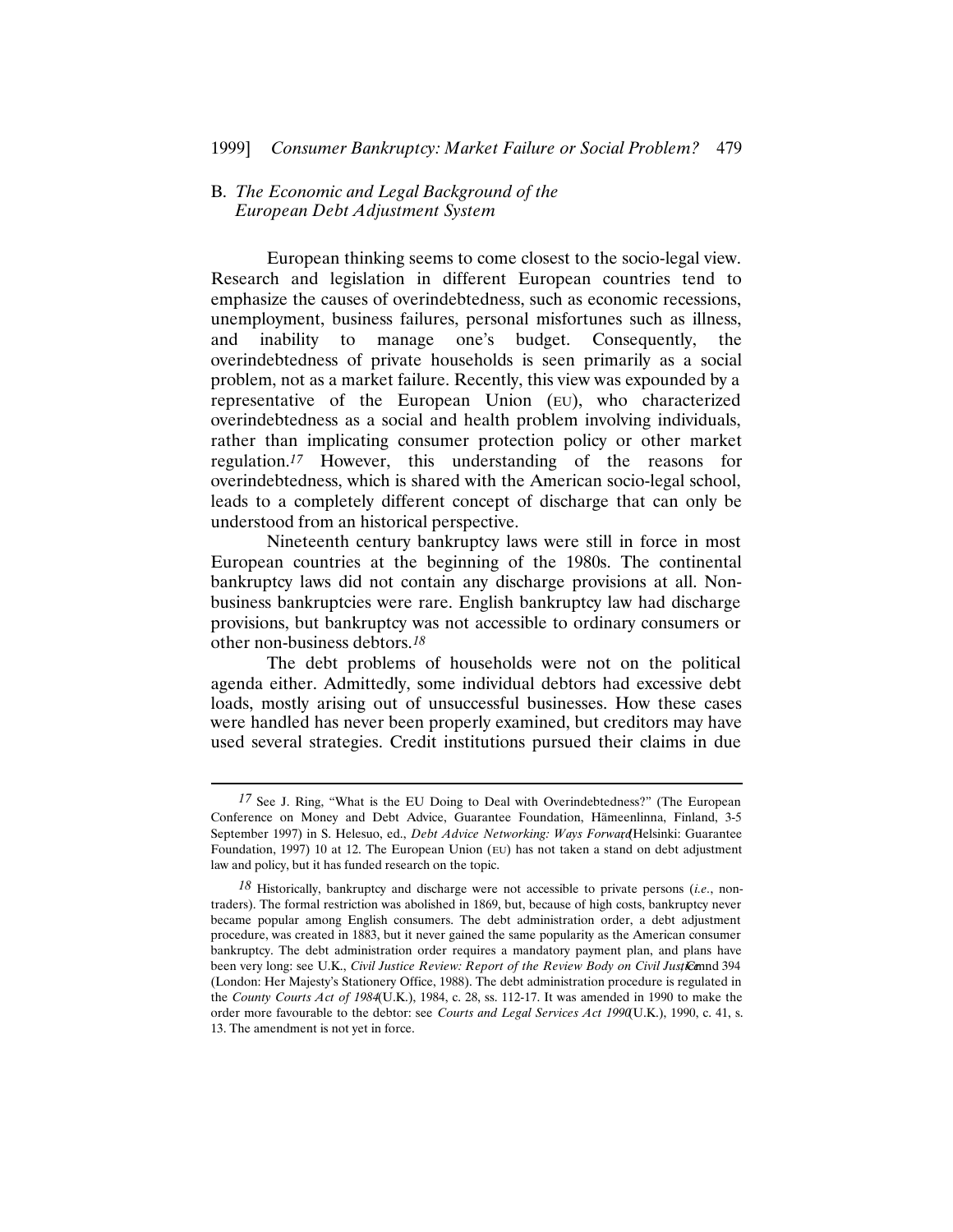# B. *The Economic and Legal Background of the European Debt Adjustment System*

European thinking seems to come closest to the socio-legal view. Research and legislation in different European countries tend to emphasize the causes of overindebtedness, such as economic recessions, unemployment, business failures, personal misfortunes such as illness, and inability to manage one's budget. Consequently, the overindebtedness of private households is seen primarily as a social problem, not as a market failure. Recently, this view was expounded by a representative of the European Union (EU), who characterized overindebtedness as a social and health problem involving individuals, rather than implicating consumer protection policy or other market regulation.*17* However, this understanding of the reasons for overindebtedness, which is shared with the American socio-legal school, leads to a completely different concept of discharge that can only be understood from an historical perspective.

Nineteenth century bankruptcy laws were still in force in most European countries at the beginning of the 1980s. The continental bankruptcy laws did not contain any discharge provisions at all. Nonbusiness bankruptcies were rare. English bankruptcy law had discharge provisions, but bankruptcy was not accessible to ordinary consumers or other non-business debtors.*18*

The debt problems of households were not on the political agenda either. Admittedly, some individual debtors had excessive debt loads, mostly arising out of unsuccessful businesses. How these cases were handled has never been properly examined, but creditors may have used several strategies. Credit institutions pursued their claims in due

*<sup>17</sup>* See J. Ring, "What is the EU Doing to Deal with Overindebtedness?" (The European Conference on Money and Debt Advice, Guarantee Foundation, Hämeenlinna, Finland, 3-5 September 1997) in S. Helesuo, ed., *Debt Advice Networking: Ways Forward*, Helsinki: Guarantee Foundation, 1997) 10 at 12. The European Union (EU) has not taken a stand on debt adjustment law and policy, but it has funded research on the topic.

*<sup>18</sup>* Historically, bankruptcy and discharge were not accessible to private persons (*i.e.*, nontraders). The formal restriction was abolished in 1869, but, because of high costs, bankruptcy never became popular among English consumers. The debt administration order, a debt adjustment procedure, was created in 1883, but it never gained the same popularity as the American consumer bankruptcy. The debt administration order requires a mandatory payment plan, and plans have been very long: see U.K., *Civil Justice Review: Report of the Review Body on Civil Justice* and 394 (London: Her Majesty's Stationery Office, 1988). The debt administration procedure is regulated in the *County Courts Act of 1984* (U.K.), 1984, c. 28, ss. 112-17. It was amended in 1990 to make the order more favourable to the debtor: see *Courts and Legal Services Act 1990* (U.K.), 1990, c. 41, s. 13. The amendment is not yet in force.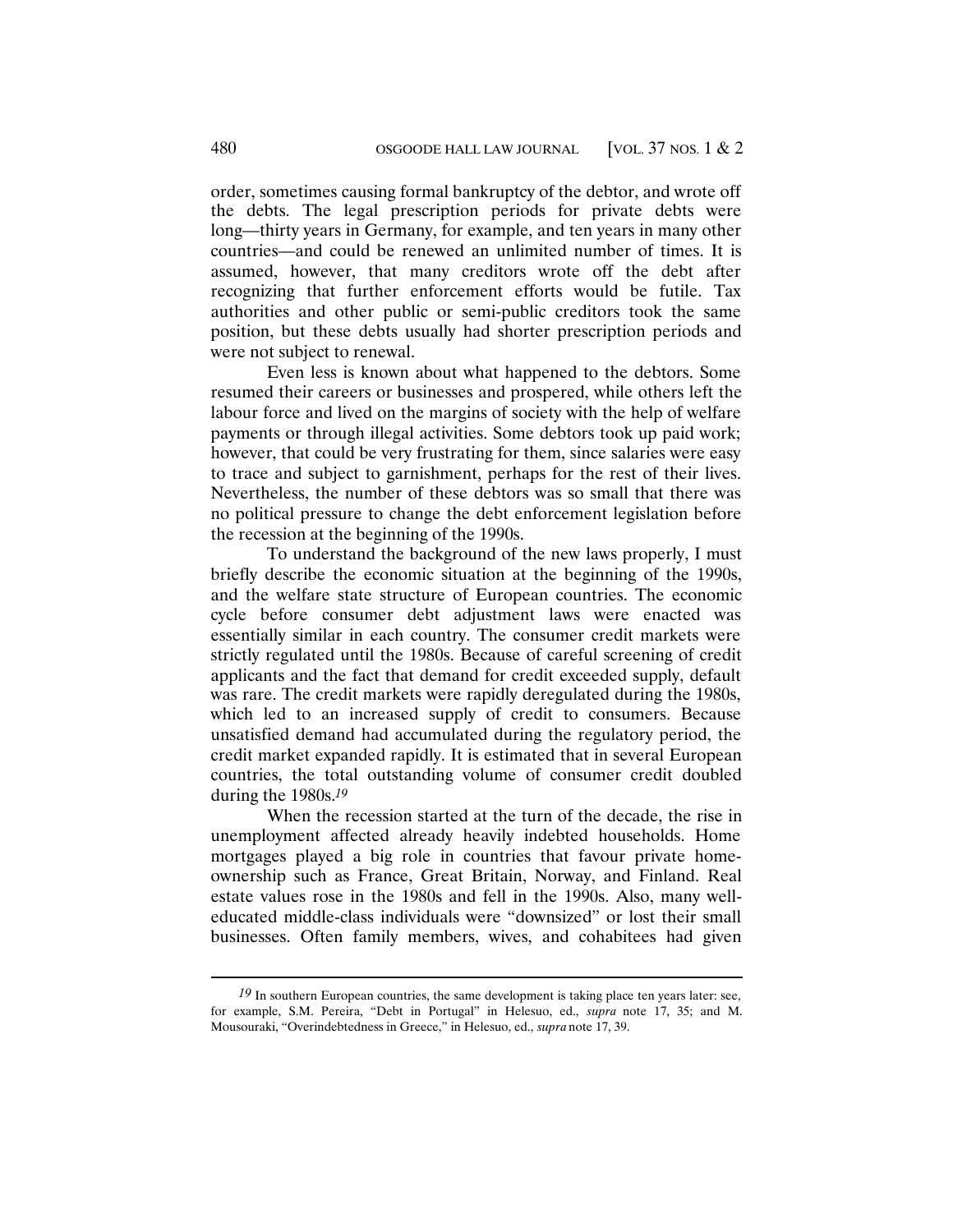order, sometimes causing formal bankruptcy of the debtor, and wrote off the debts. The legal prescription periods for private debts were long—thirty years in Germany, for example, and ten years in many other countries—and could be renewed an unlimited number of times. It is assumed, however, that many creditors wrote off the debt after recognizing that further enforcement efforts would be futile. Tax authorities and other public or semi-public creditors took the same position, but these debts usually had shorter prescription periods and were not subject to renewal.

Even less is known about what happened to the debtors. Some resumed their careers or businesses and prospered, while others left the labour force and lived on the margins of society with the help of welfare payments or through illegal activities. Some debtors took up paid work; however, that could be very frustrating for them, since salaries were easy to trace and subject to garnishment, perhaps for the rest of their lives. Nevertheless, the number of these debtors was so small that there was no political pressure to change the debt enforcement legislation before the recession at the beginning of the 1990s.

To understand the background of the new laws properly, I must briefly describe the economic situation at the beginning of the 1990s, and the welfare state structure of European countries. The economic cycle before consumer debt adjustment laws were enacted was essentially similar in each country. The consumer credit markets were strictly regulated until the 1980s. Because of careful screening of credit applicants and the fact that demand for credit exceeded supply, default was rare. The credit markets were rapidly deregulated during the 1980s, which led to an increased supply of credit to consumers. Because unsatisfied demand had accumulated during the regulatory period, the credit market expanded rapidly. It is estimated that in several European countries, the total outstanding volume of consumer credit doubled during the 1980s.*19*

When the recession started at the turn of the decade, the rise in unemployment affected already heavily indebted households. Home mortgages played a big role in countries that favour private homeownership such as France, Great Britain, Norway, and Finland. Real estate values rose in the 1980s and fell in the 1990s. Also, many welleducated middle-class individuals were "downsized" or lost their small businesses. Often family members, wives, and cohabitees had given

*<sup>19</sup>* In southern European countries, the same development is taking place ten years later: see, for example, S.M. Pereira, "Debt in Portugal" in Helesuo, ed., *supra* note 17, 35; and M. Mousouraki, "Overindebtedness in Greece," in Helesuo, ed., *supra* note 17, 39.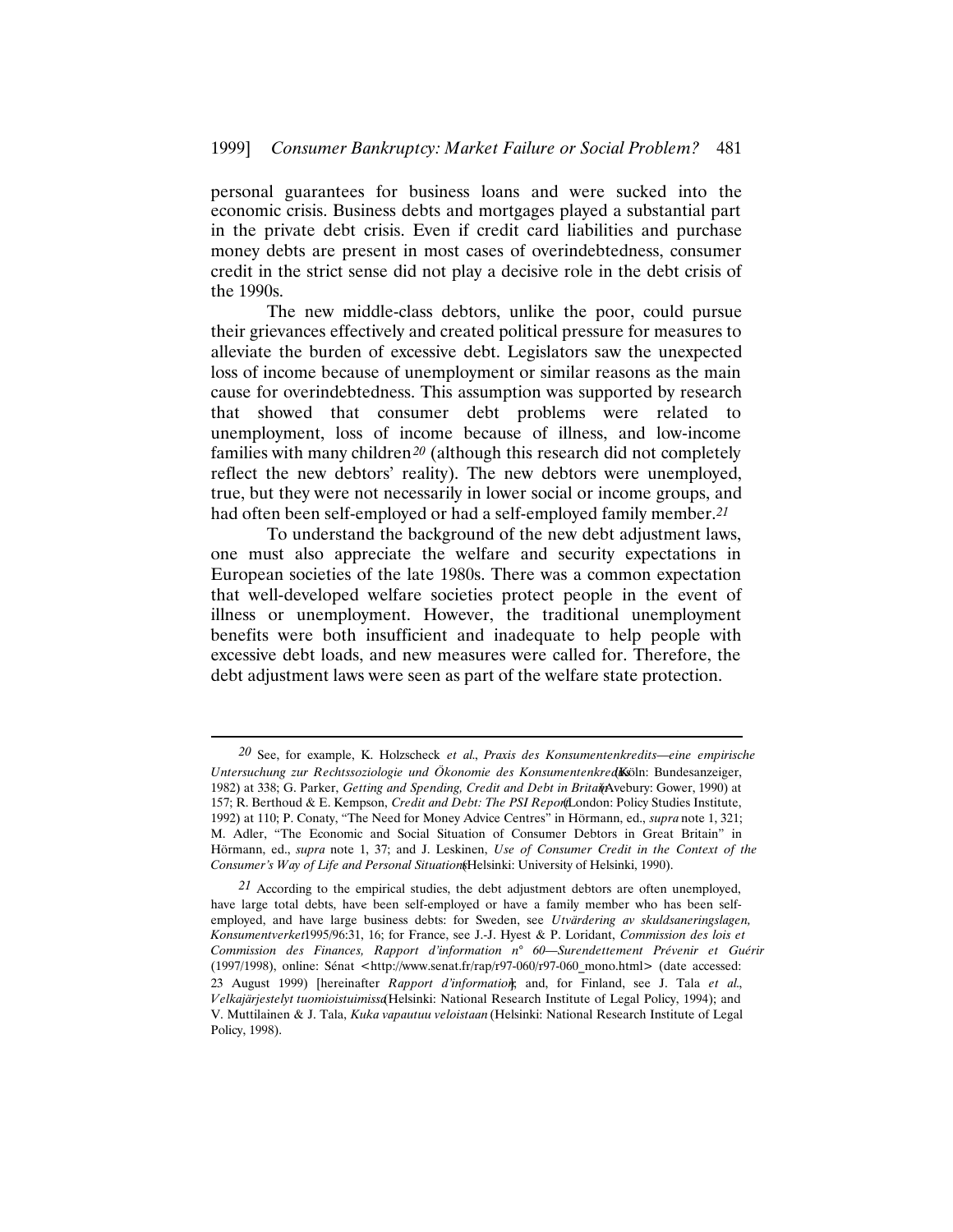personal guarantees for business loans and were sucked into the economic crisis. Business debts and mortgages played a substantial part in the private debt crisis. Even if credit card liabilities and purchase money debts are present in most cases of overindebtedness, consumer credit in the strict sense did not play a decisive role in the debt crisis of the 1990s.

The new middle-class debtors, unlike the poor, could pursue their grievances effectively and created political pressure for measures to alleviate the burden of excessive debt. Legislators saw the unexpected loss of income because of unemployment or similar reasons as the main cause for overindebtedness. This assumption was supported by research that showed that consumer debt problems were related to unemployment, loss of income because of illness, and low-income families with many children*20* (although this research did not completely reflect the new debtors' reality). The new debtors were unemployed, true, but they were not necessarily in lower social or income groups, and had often been self-employed or had a self-employed family member.*21*

To understand the background of the new debt adjustment laws, one must also appreciate the welfare and security expectations in European societies of the late 1980s. There was a common expectation that well-developed welfare societies protect people in the event of illness or unemployment. However, the traditional unemployment benefits were both insufficient and inadequate to help people with excessive debt loads, and new measures were called for. Therefore, the debt adjustment laws were seen as part of the welfare state protection.

*<sup>20</sup>* See, for example, K. Holzscheck *et al.*, *Praxis des Konsumentenkredits—eine empirische* Untersuchung zur Rechtssoziologie und Ökonomie des Konsumentenkred**K**öln: Bundesanzeiger, 1982) at 338; G. Parker, *Getting and Spending, Credit and Debt in Britai*(Avebury: Gower, 1990) at 157; R. Berthoud & E. Kempson, *Credit and Debt: The PSI Repor(I*London: Policy Studies Institute, 1992) at 110; P. Conaty, "The Need for Money Advice Centres" in Hörmann, ed., *supra* note 1, 321; M. Adler, "The Economic and Social Situation of Consumer Debtors in Great Britain" in Hörmann, ed., *supra* note 1, 37; and J. Leskinen, *Use of Consumer Credit in the Context of the Consumer's Way of Life and Personal Situation* (Helsinki: University of Helsinki, 1990).

*<sup>21</sup>* According to the empirical studies, the debt adjustment debtors are often unemployed, have large total debts, have been self-employed or have a family member who has been selfemployed, and have large business debts: for Sweden, see *Utvärdering av skuldsaneringslagen, Konsumentverket* 1995/96:31, 16; for France, see J.-J. Hyest & P. Loridant, *Commission des lois et Commission des Finances, Rapport d'information n° 60—Surendettement Prévenir et Guérir* (1997/1998), online: Sénat <http://www.senat.fr/rap/r97-060/r97-060\_mono.html> (date accessed: 23 August 1999) [hereinafter *Rapport d'information*]; and, for Finland, see J. Tala et al., *Velkajärjestelyt tuomioistuimissa* (Helsinki: National Research Institute of Legal Policy, 1994); and V. Muttilainen & J. Tala, *Kuka vapautuu veloistaan* (Helsinki: National Research Institute of Legal Policy, 1998).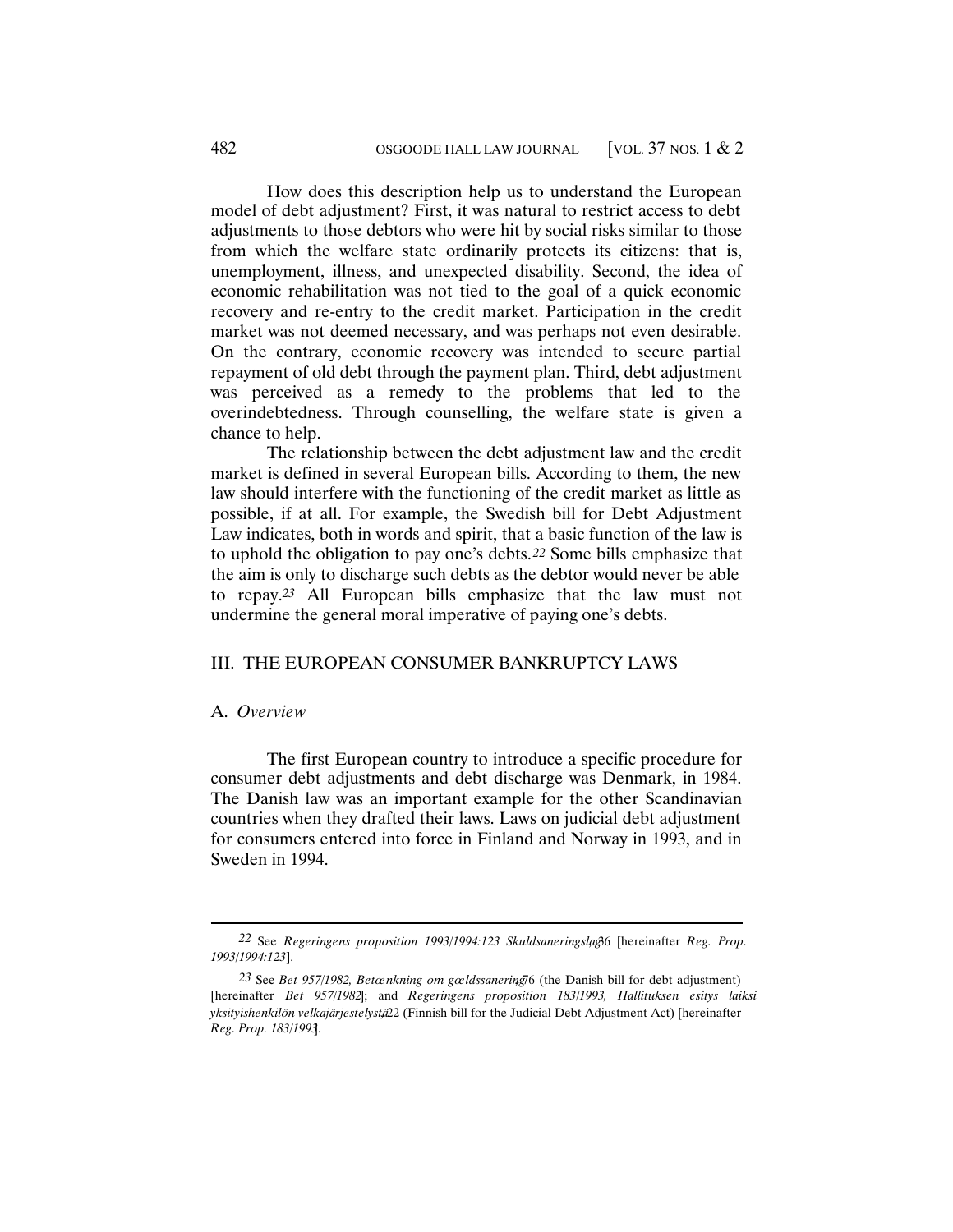How does this description help us to understand the European model of debt adjustment? First, it was natural to restrict access to debt adjustments to those debtors who were hit by social risks similar to those from which the welfare state ordinarily protects its citizens: that is, unemployment, illness, and unexpected disability. Second, the idea of economic rehabilitation was not tied to the goal of a quick economic recovery and re-entry to the credit market. Participation in the credit market was not deemed necessary, and was perhaps not even desirable. On the contrary, economic recovery was intended to secure partial repayment of old debt through the payment plan. Third, debt adjustment was perceived as a remedy to the problems that led to the overindebtedness. Through counselling, the welfare state is given a chance to help.

The relationship between the debt adjustment law and the credit market is defined in several European bills. According to them, the new law should interfere with the functioning of the credit market as little as possible, if at all. For example, the Swedish bill for Debt Adjustment Law indicates, both in words and spirit, that a basic function of the law is to uphold the obligation to pay one's debts.*22* Some bills emphasize that the aim is only to discharge such debts as the debtor would never be able to repay.*23* All European bills emphasize that the law must not undermine the general moral imperative of paying one's debts.

# III. THE EUROPEAN CONSUMER BANKRUPTCY LAWS

# A. *Overview*

The first European country to introduce a specific procedure for consumer debt adjustments and debt discharge was Denmark, in 1984. The Danish law was an important example for the other Scandinavian countries when they drafted their laws. Laws on judicial debt adjustment for consumers entered into force in Finland and Norway in 1993, and in Sweden in 1994.

<sup>22</sup> See *Regeringens proposition 1993/1994:123 Skuldsaneringslag*6 [hereinafter *Reg. Prop. 1993/1994:123*].

<sup>23</sup> See *Bet 957/1982, Betœnkning om gœldssanering*<sup>1</sup>6 (the Danish bill for debt adjustment) [hereinafter *Bet 957/1982*]; and *Regeringens proposition 183/1993, Hallituksen esitys laiksi yksityishenkilön velkajärjestelystä*, 22 (Finnish bill for the Judicial Debt Adjustment Act) [hereinafter *Reg. Prop. 183/1993*].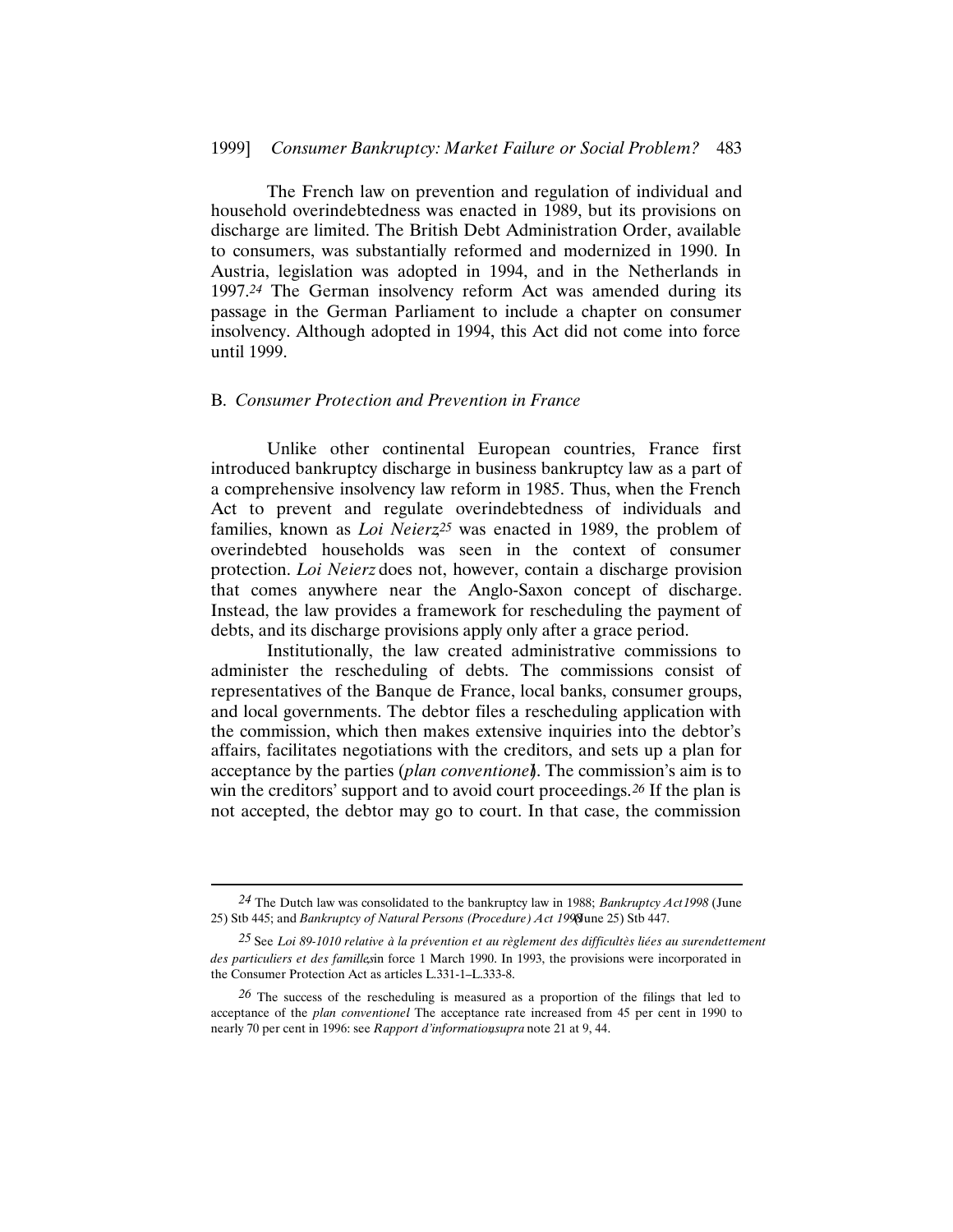The French law on prevention and regulation of individual and household overindebtedness was enacted in 1989, but its provisions on discharge are limited. The British Debt Administration Order, available to consumers, was substantially reformed and modernized in 1990. In Austria, legislation was adopted in 1994, and in the Netherlands in 1997.*24* The German insolvency reform Act was amended during its passage in the German Parliament to include a chapter on consumer insolvency. Although adopted in 1994, this Act did not come into force until 1999.

#### B. *Consumer Protection and Prevention in France*

Unlike other continental European countries, France first introduced bankruptcy discharge in business bankruptcy law as a part of a comprehensive insolvency law reform in 1985. Thus, when the French Act to prevent and regulate overindebtedness of individuals and families, known as *Loi Neierz*<sup>25</sup> was enacted in 1989, the problem of overindebted households was seen in the context of consumer protection. *Loi Neierz* does not, however, contain a discharge provision that comes anywhere near the Anglo-Saxon concept of discharge. Instead, the law provides a framework for rescheduling the payment of debts, and its discharge provisions apply only after a grace period.

Institutionally, the law created administrative commissions to administer the rescheduling of debts. The commissions consist of representatives of the Banque de France, local banks, consumer groups, and local governments. The debtor files a rescheduling application with the commission, which then makes extensive inquiries into the debtor's affairs, facilitates negotiations with the creditors, and sets up a plan for acceptance by the parties (*plan conventionel*). The commission's aim is to win the creditors' support and to avoid court proceedings.*26* If the plan is not accepted, the debtor may go to court. In that case, the commission

*<sup>24</sup>* The Dutch law was consolidated to the bankruptcy law in 1988; *Bankruptcy Act1998* (June 25) Stb 445; and *Bankruptcy of Natural Persons (Procedure) Act 1998* June 25) Stb 447.

*<sup>25</sup>* See *Loi 89-1010 relative à la prévention et au règlement des difficultès liées au surendettement des particuliers et des familles* in force 1 March 1990. In 1993, the provisions were incorporated in the Consumer Protection Act as articles L.331-1–L.333-8.

*<sup>26</sup>* The success of the rescheduling is measured as a proportion of the filings that led to acceptance of the *plan conventionel*. The acceptance rate increased from 45 per cent in 1990 to nearly 70 per cent in 1996: see *Rapport d'information*, *supra* note 21 at 9, 44.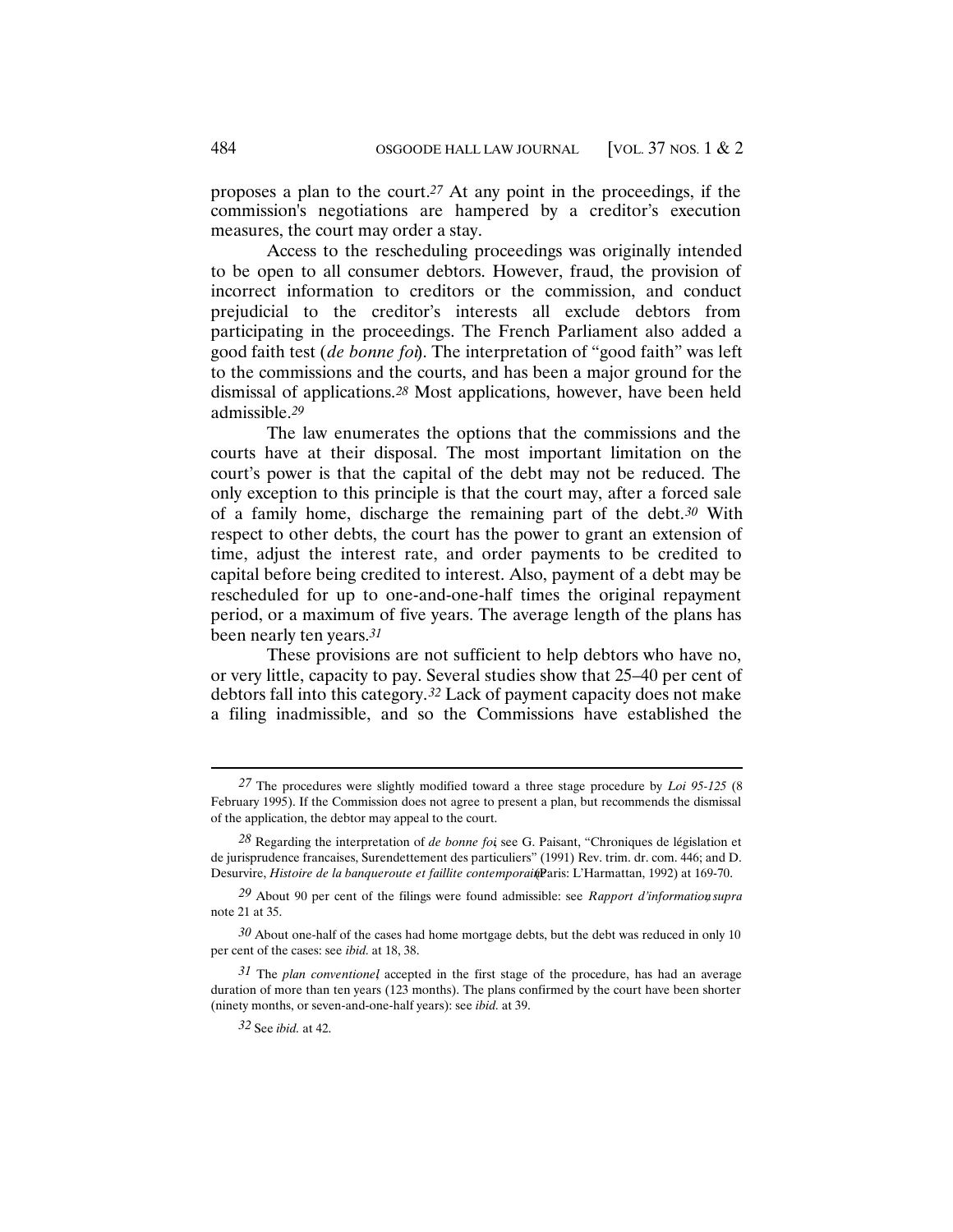proposes a plan to the court.*27* At any point in the proceedings, if the commission's negotiations are hampered by a creditor's execution measures, the court may order a stay.

Access to the rescheduling proceedings was originally intended to be open to all consumer debtors. However, fraud, the provision of incorrect information to creditors or the commission, and conduct prejudicial to the creditor's interests all exclude debtors from participating in the proceedings. The French Parliament also added a good faith test (*de bonne foi*). The interpretation of "good faith" was left to the commissions and the courts, and has been a major ground for the dismissal of applications.*28* Most applications, however, have been held admissible.*29*

The law enumerates the options that the commissions and the courts have at their disposal. The most important limitation on the court's power is that the capital of the debt may not be reduced. The only exception to this principle is that the court may, after a forced sale of a family home, discharge the remaining part of the debt.*30* With respect to other debts, the court has the power to grant an extension of time, adjust the interest rate, and order payments to be credited to capital before being credited to interest. Also, payment of a debt may be rescheduled for up to one-and-one-half times the original repayment period, or a maximum of five years. The average length of the plans has been nearly ten years.*31*

These provisions are not sufficient to help debtors who have no, or very little, capacity to pay. Several studies show that 25–40 per cent of debtors fall into this category.*32* Lack of payment capacity does not make a filing inadmissible, and so the Commissions have established the

*<sup>27</sup>* The procedures were slightly modified toward a three stage procedure by *Loi 95-125* (8 February 1995). If the Commission does not agree to present a plan, but recommends the dismissal of the application, the debtor may appeal to the court.

<sup>28</sup> Regarding the interpretation of *de bonne foi*, see G. Paisant, "Chroniques de législation et de jurisprudence francaises, Surendettement des particuliers" (1991) Rev. trim. dr. com. 446; and D. Desurvire, *Histoire de la banqueroute et faillite contemporait* Paris: L'Harmattan, 1992) at 169-70.

*<sup>29</sup>* About 90 per cent of the filings were found admissible: see *Rapport d'information*, *supra* note 21 at 35.

*<sup>30</sup>* About one-half of the cases had home mortgage debts, but the debt was reduced in only 10 per cent of the cases: see *ibid.* at 18, 38.

*<sup>31</sup>* The *plan conventionel*, accepted in the first stage of the procedure, has had an average duration of more than ten years (123 months). The plans confirmed by the court have been shorter (ninety months, or seven-and-one-half years): see *ibid.* at 39.

*<sup>32</sup>* See *ibid.* at 42.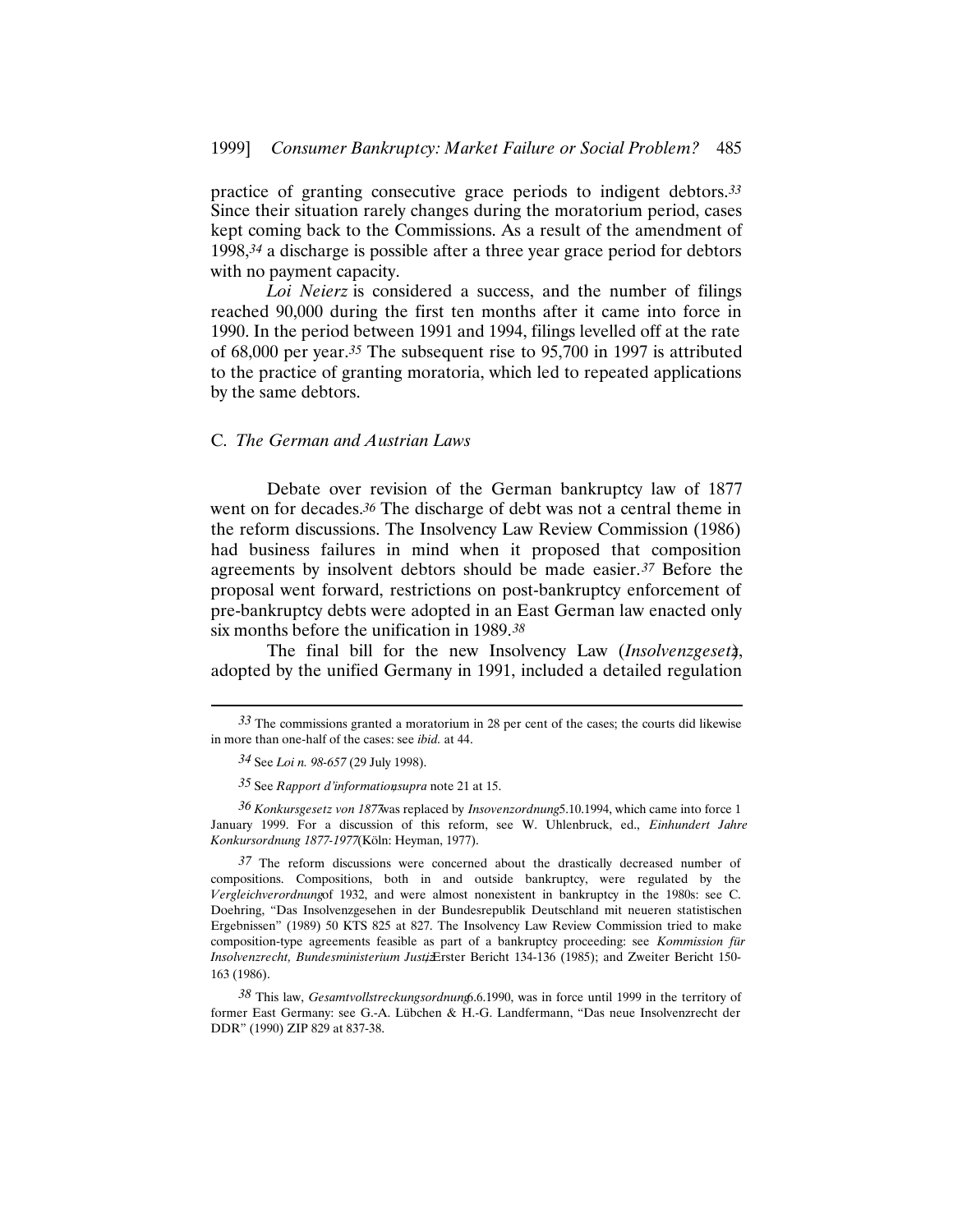practice of granting consecutive grace periods to indigent debtors.*33* Since their situation rarely changes during the moratorium period, cases kept coming back to the Commissions. As a result of the amendment of 1998,*34* a discharge is possible after a three year grace period for debtors with no payment capacity.

*Loi Neierz* is considered a success, and the number of filings reached 90,000 during the first ten months after it came into force in 1990. In the period between 1991 and 1994, filings levelled off at the rate of 68,000 per year.*35* The subsequent rise to 95,700 in 1997 is attributed to the practice of granting moratoria, which led to repeated applications by the same debtors.

#### C. *The German and Austrian Laws*

Debate over revision of the German bankruptcy law of 1877 went on for decades.*36* The discharge of debt was not a central theme in the reform discussions. The Insolvency Law Review Commission (1986) had business failures in mind when it proposed that composition agreements by insolvent debtors should be made easier.*37* Before the proposal went forward, restrictions on post-bankruptcy enforcement of pre-bankruptcy debts were adopted in an East German law enacted only six months before the unification in 1989.*38*

The final bill for the new Insolvency Law (*Insolvenzgesetz*), adopted by the unified Germany in 1991, included a detailed regulation

*<sup>33</sup>* The commissions granted a moratorium in 28 per cent of the cases; the courts did likewise in more than one-half of the cases: see *ibid.* at 44.

*<sup>34</sup>* See *Loi n. 98-657* (29 July 1998).

*<sup>35</sup>* See *Rapport d'information*, *supra* note 21 at 15.

*<sup>36</sup> Konkursgesetz von 1877* was replaced by *Insovenzordnung* 5.10.1994, which came into force 1 January 1999. For a discussion of this reform, see W. Uhlenbruck, ed., *Einhundert Jahre Konkursordnung 1877-1977* (Köln: Heyman, 1977).

*<sup>37</sup>* The reform discussions were concerned about the drastically decreased number of compositions. Compositions, both in and outside bankruptcy, were regulated by the *Vergleichverordnung* of 1932, and were almost nonexistent in bankruptcy in the 1980s: see C. Doehring, "Das Insolvenzgesehen in der Bundesrepublik Deutschland mit neueren statistischen Ergebnissen" (1989) 50 KTS 825 at 827. The Insolvency Law Review Commission tried to make composition-type agreements feasible as part of a bankruptcy proceeding: see *Kommission für Insolvenzrecht, Bundesministerium Justi* $\overline{E}$ rster Bericht 134-136 (1985); and Zweiter Bericht 150-163 (1986).

*<sup>38</sup>* This law, *Gesamtvollstreckungsordnung* 6.6.1990, was in force until 1999 in the territory of former East Germany: see G.-A. Lübchen & H.-G. Landfermann, "Das neue Insolvenzrecht der DDR" (1990) ZIP 829 at 837-38.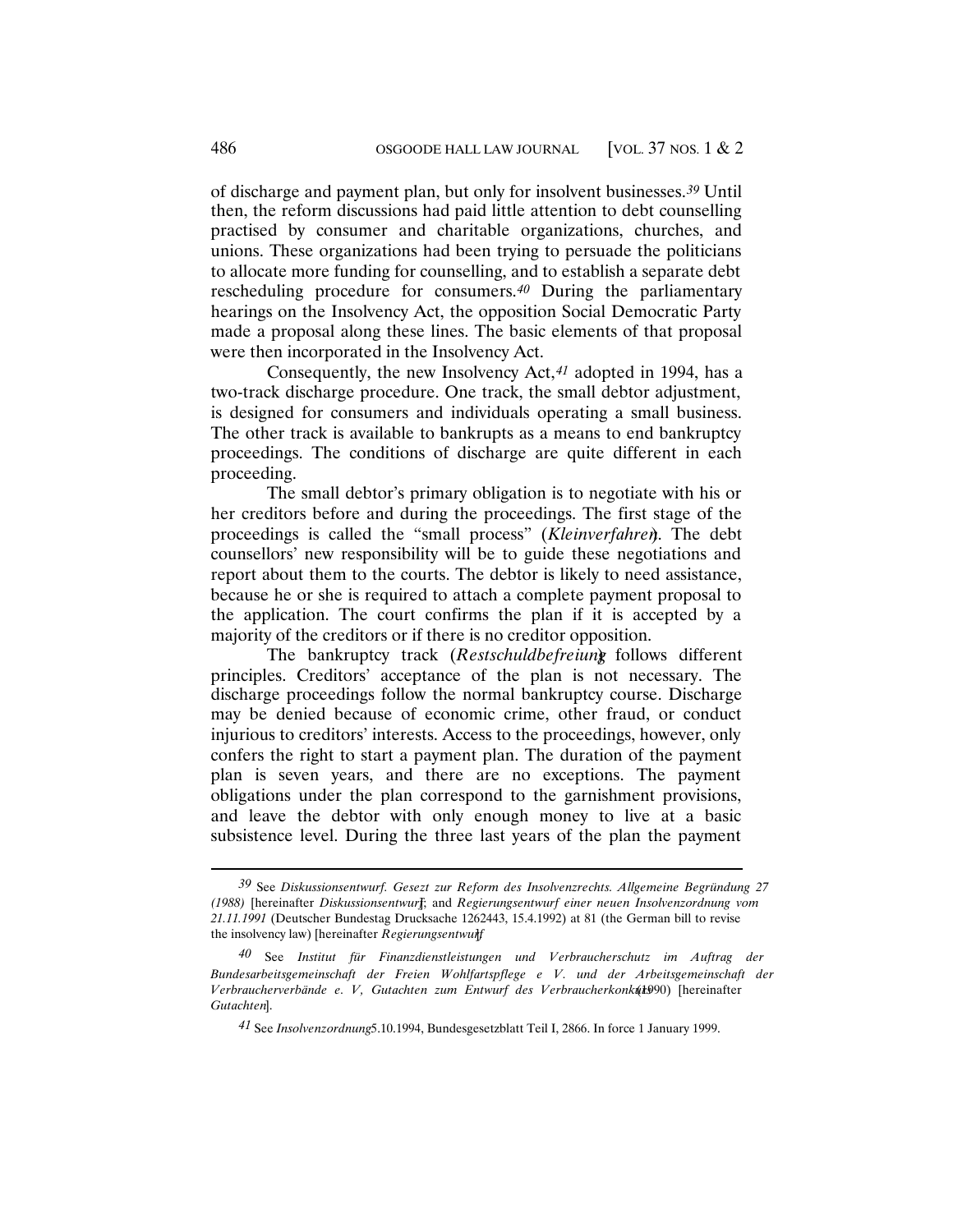of discharge and payment plan, but only for insolvent businesses.*39* Until then, the reform discussions had paid little attention to debt counselling practised by consumer and charitable organizations, churches, and unions. These organizations had been trying to persuade the politicians to allocate more funding for counselling, and to establish a separate debt rescheduling procedure for consumers.*40* During the parliamentary hearings on the Insolvency Act, the opposition Social Democratic Party made a proposal along these lines. The basic elements of that proposal were then incorporated in the Insolvency Act.

Consequently, the new Insolvency Act,*41* adopted in 1994, has a two-track discharge procedure. One track, the small debtor adjustment, is designed for consumers and individuals operating a small business. The other track is available to bankrupts as a means to end bankruptcy proceedings. The conditions of discharge are quite different in each proceeding.

The small debtor's primary obligation is to negotiate with his or her creditors before and during the proceedings. The first stage of the proceedings is called the "small process" (*Kleinverfahren*). The debt counsellors' new responsibility will be to guide these negotiations and report about them to the courts. The debtor is likely to need assistance, because he or she is required to attach a complete payment proposal to the application. The court confirms the plan if it is accepted by a majority of the creditors or if there is no creditor opposition.

The bankruptcy track (*Restschuldbefreiung*) follows different principles. Creditors' acceptance of the plan is not necessary. The discharge proceedings follow the normal bankruptcy course. Discharge may be denied because of economic crime, other fraud, or conduct injurious to creditors' interests. Access to the proceedings, however, only confers the right to start a payment plan. The duration of the payment plan is seven years, and there are no exceptions. The payment obligations under the plan correspond to the garnishment provisions, and leave the debtor with only enough money to live at a basic subsistence level. During the three last years of the plan the payment

*<sup>39</sup>* See *Diskussionsentwurf. Gesezt zur Reform des Insolvenzrechts. Allgemeine Begründung 27 (1988)* [hereinafter *Diskussionsentwurf*]; and *Regierungsentwurf einer neuen Insolvenzordnung vom 21.11.1991* (Deutscher Bundestag Drucksache 1262443, 15.4.1992) at 81 (the German bill to revise the insolvency law) [hereinafter *Regierungsentwurf*].

*<sup>40</sup>* See *Institut für Finanzdienstleistungen und Verbraucherschutz im Auftrag der Bundesarbeitsgemeinschaft der Freien Wohlfartspflege e V. und der Arbeitsgemeinschaft der Verbraucherverbände e. V, Gutachten zum Entwurf des Verbraucherkonkurs* (1990) [hereinafter *Gutachten*].

*<sup>41</sup>* See *Insolvenzordnung* 5.10.1994, Bundesgesetzblatt Teil I, 2866. In force 1 January 1999.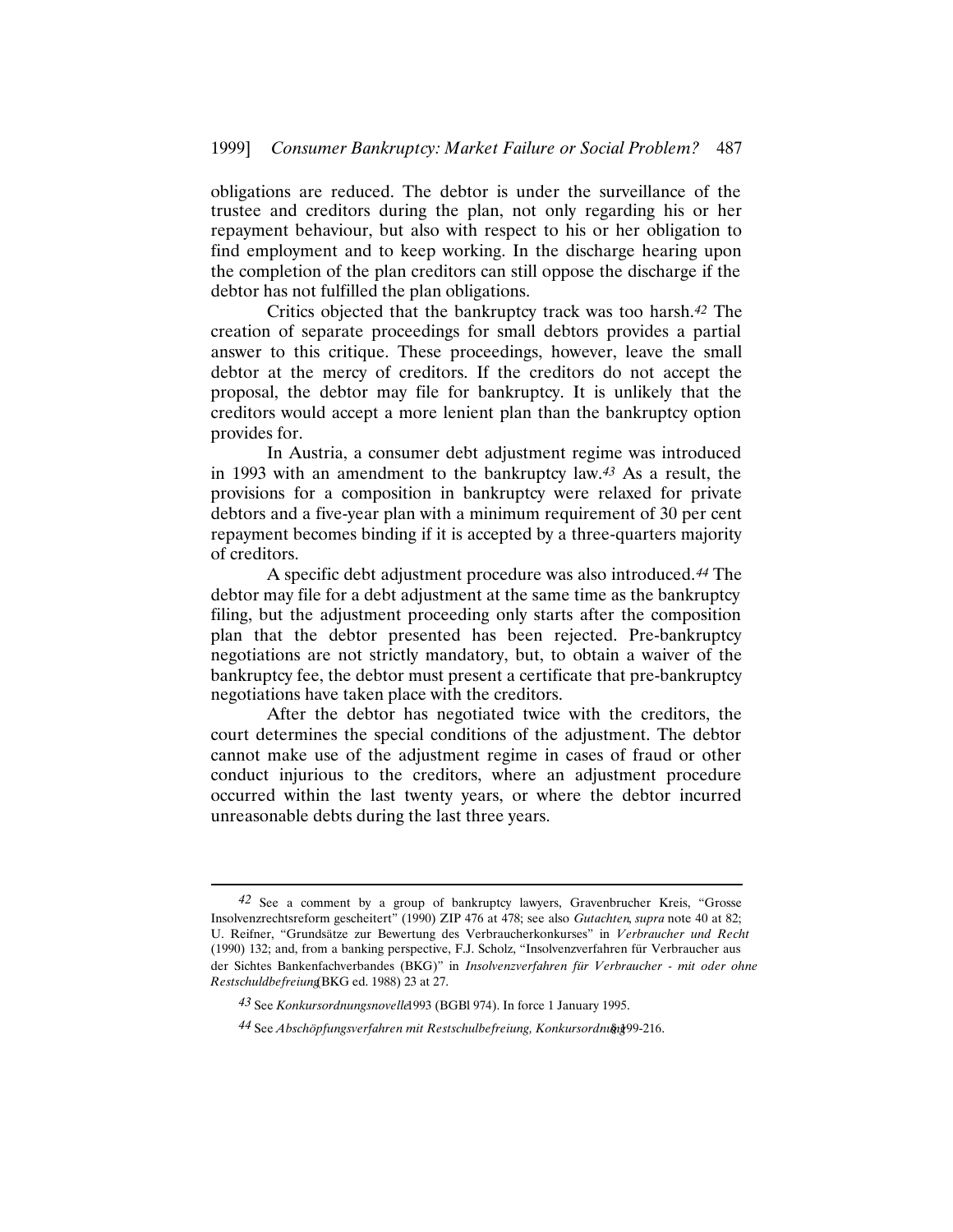obligations are reduced. The debtor is under the surveillance of the trustee and creditors during the plan, not only regarding his or her repayment behaviour, but also with respect to his or her obligation to find employment and to keep working. In the discharge hearing upon the completion of the plan creditors can still oppose the discharge if the debtor has not fulfilled the plan obligations.

Critics objected that the bankruptcy track was too harsh.*42* The creation of separate proceedings for small debtors provides a partial answer to this critique. These proceedings, however, leave the small debtor at the mercy of creditors. If the creditors do not accept the proposal, the debtor may file for bankruptcy. It is unlikely that the creditors would accept a more lenient plan than the bankruptcy option provides for.

In Austria, a consumer debt adjustment regime was introduced in 1993 with an amendment to the bankruptcy law.*43* As a result, the provisions for a composition in bankruptcy were relaxed for private debtors and a five-year plan with a minimum requirement of 30 per cent repayment becomes binding if it is accepted by a three-quarters majority of creditors.

A specific debt adjustment procedure was also introduced.*44* The debtor may file for a debt adjustment at the same time as the bankruptcy filing, but the adjustment proceeding only starts after the composition plan that the debtor presented has been rejected. Pre-bankruptcy negotiations are not strictly mandatory, but, to obtain a waiver of the bankruptcy fee, the debtor must present a certificate that pre-bankruptcy negotiations have taken place with the creditors.

After the debtor has negotiated twice with the creditors, the court determines the special conditions of the adjustment. The debtor cannot make use of the adjustment regime in cases of fraud or other conduct injurious to the creditors, where an adjustment procedure occurred within the last twenty years, or where the debtor incurred unreasonable debts during the last three years.

*<sup>42</sup>* See a comment by a group of bankruptcy lawyers, Gravenbrucher Kreis, "Grosse Insolvenzrechtsreform gescheitert" (1990) ZIP 476 at 478; see also *Gutachten*, *supra* note 40 at 82; U. Reifner, "Grundsätze zur Bewertung des Verbraucherkonkurses" in *Verbraucher und Recht* (1990) 132; and, from a banking perspective, F.J. Scholz, "Insolvenzverfahren für Verbraucher aus der Sichtes Bankenfachverbandes (BKG)" in *Insolvenzverfahren für Verbraucher - mit oder ohne Restschuldbefreiung* (BKG ed. 1988) 23 at 27.

*<sup>43</sup>* See *Konkursordnungsnovelle* 1993 (BGBl 974). In force 1 January 1995.

*<sup>44</sup>* See *Abschöpfungsverfahren mit Restschulbefreiung, Konkursordnung* § 199-216.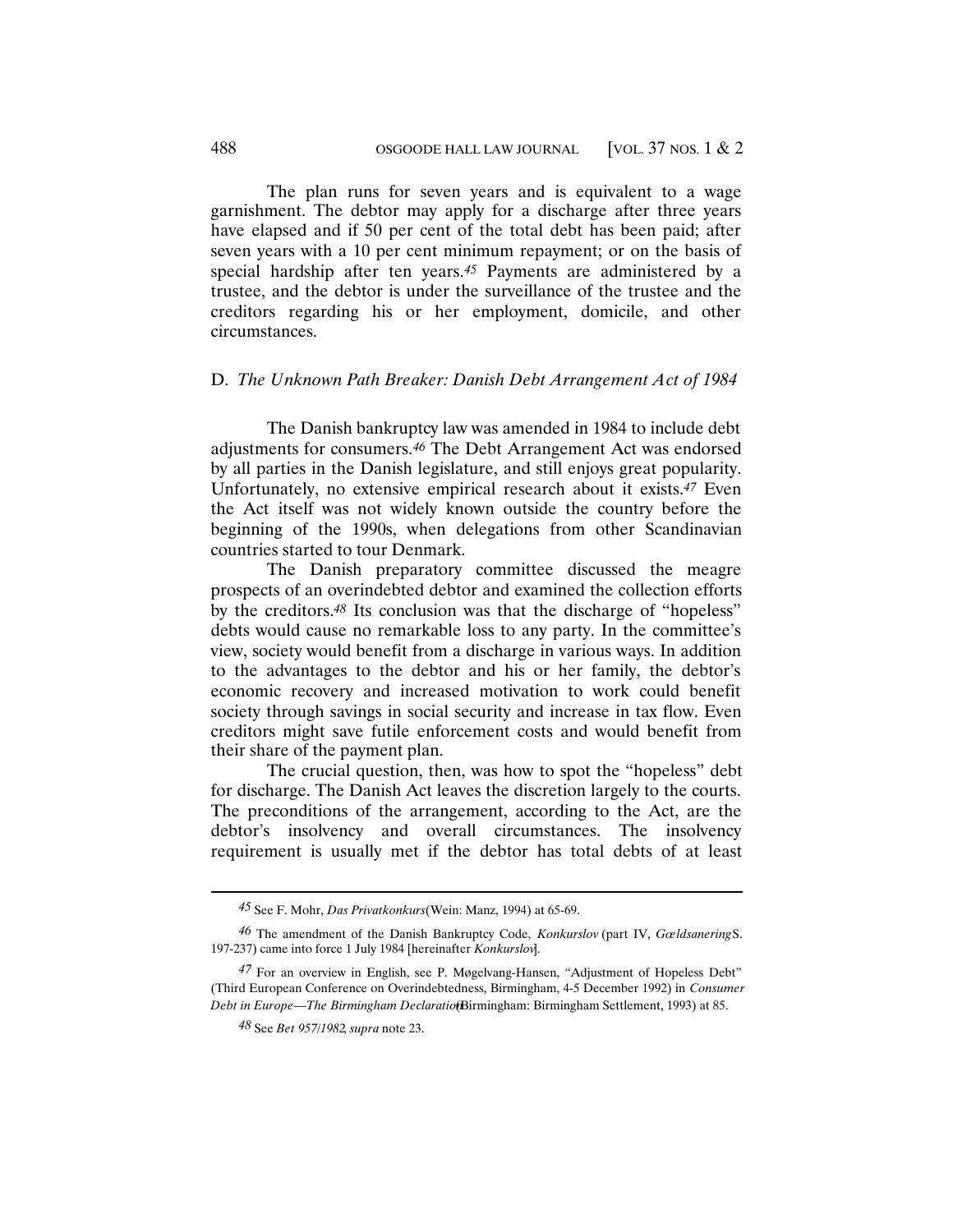The plan runs for seven years and is equivalent to a wage garnishment. The debtor may apply for a discharge after three years have elapsed and if 50 per cent of the total debt has been paid; after seven years with a 10 per cent minimum repayment; or on the basis of special hardship after ten years.*45* Payments are administered by a trustee, and the debtor is under the surveillance of the trustee and the creditors regarding his or her employment, domicile, and other circumstances.

# D. *The Unknown Path Breaker: Danish Debt Arrangement Act of 1984*

The Danish bankruptcy law was amended in 1984 to include debt adjustments for consumers.*46* The Debt Arrangement Act was endorsed by all parties in the Danish legislature, and still enjoys great popularity. Unfortunately, no extensive empirical research about it exists.*47* Even the Act itself was not widely known outside the country before the beginning of the 1990s, when delegations from other Scandinavian countries started to tour Denmark.

The Danish preparatory committee discussed the meagre prospects of an overindebted debtor and examined the collection efforts by the creditors.*48* Its conclusion was that the discharge of "hopeless" debts would cause no remarkable loss to any party. In the committee's view, society would benefit from a discharge in various ways. In addition to the advantages to the debtor and his or her family, the debtor's economic recovery and increased motivation to work could benefit society through savings in social security and increase in tax flow. Even creditors might save futile enforcement costs and would benefit from their share of the payment plan.

The crucial question, then, was how to spot the "hopeless" debt for discharge. The Danish Act leaves the discretion largely to the courts. The preconditions of the arrangement, according to the Act, are the debtor's insolvency and overall circumstances. The insolvency requirement is usually met if the debtor has total debts of at least

*<sup>45</sup>* See F. Mohr, *Das Privatkonkurs* (Wein: Manz, 1994) at 65-69.

*<sup>46</sup>* The amendment of the Danish Bankruptcy Code, *Konkurslov* (part IV, *Gœldsanering* S. 197-237) came into force 1 July 1984 [hereinafter *Konkurslov*].

*<sup>47</sup>* For an overview in English, see P. Møgelvang-Hansen, "Adjustment of Hopeless Debt" (Third European Conference on Overindebtedness, Birmingham, 4-5 December 1992) in *Consumer Debt in Europe—The Birmingham Declaratiof* Birmingham: Birmingham Settlement, 1993) at 85.

*<sup>48</sup>* See *Bet 957/1982*, *supra* note 23.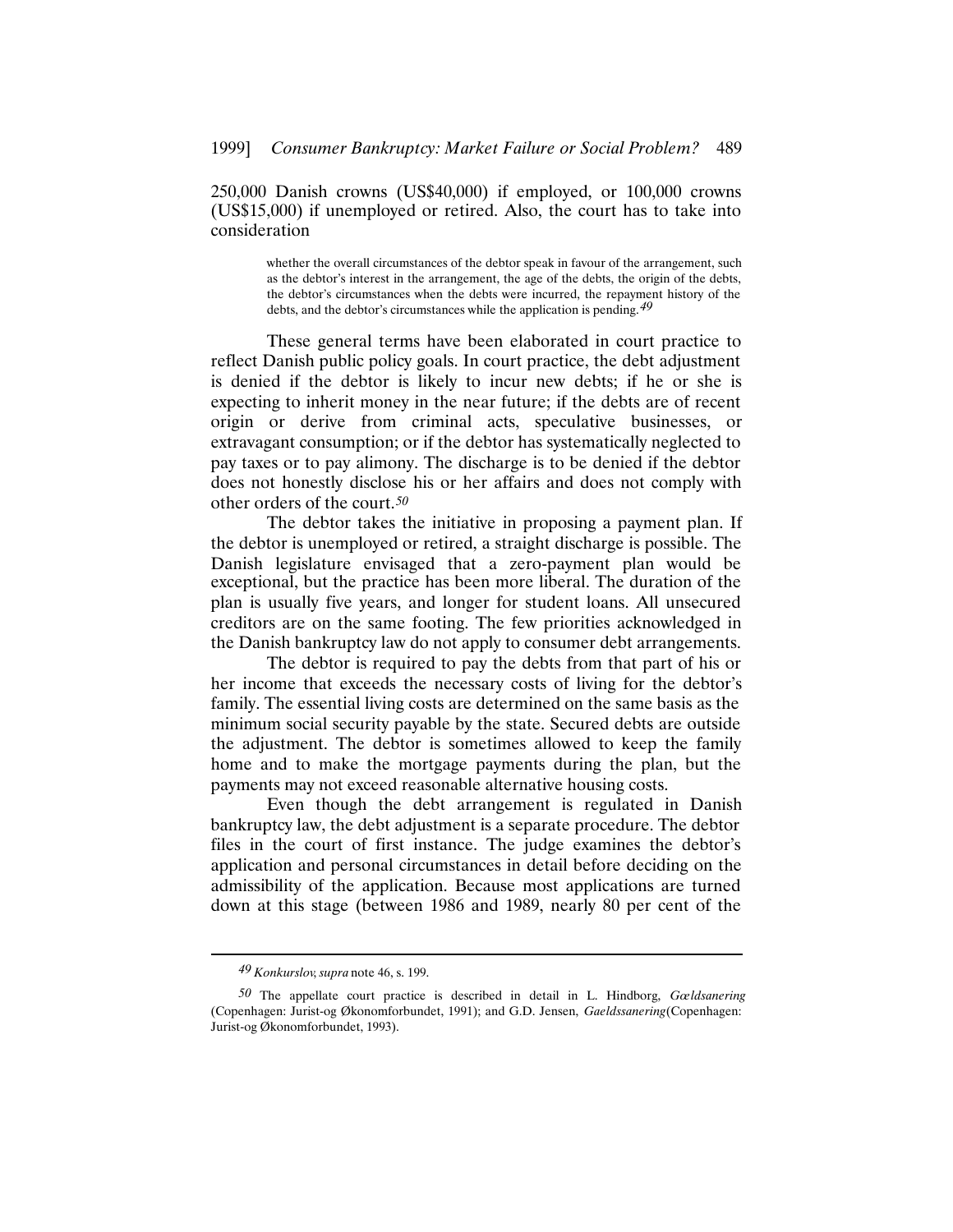250,000 Danish crowns (US\$40,000) if employed, or 100,000 crowns (US\$15,000) if unemployed or retired. Also, the court has to take into consideration

> whether the overall circumstances of the debtor speak in favour of the arrangement, such as the debtor's interest in the arrangement, the age of the debts, the origin of the debts, the debtor's circumstances when the debts were incurred, the repayment history of the debts, and the debtor's circumstances while the application is pending.*49*

These general terms have been elaborated in court practice to reflect Danish public policy goals. In court practice, the debt adjustment is denied if the debtor is likely to incur new debts; if he or she is expecting to inherit money in the near future; if the debts are of recent origin or derive from criminal acts, speculative businesses, or extravagant consumption; or if the debtor has systematically neglected to pay taxes or to pay alimony. The discharge is to be denied if the debtor does not honestly disclose his or her affairs and does not comply with other orders of the court.*50*

The debtor takes the initiative in proposing a payment plan. If the debtor is unemployed or retired, a straight discharge is possible. The Danish legislature envisaged that a zero-payment plan would be exceptional, but the practice has been more liberal. The duration of the plan is usually five years, and longer for student loans. All unsecured creditors are on the same footing. The few priorities acknowledged in the Danish bankruptcy law do not apply to consumer debt arrangements.

The debtor is required to pay the debts from that part of his or her income that exceeds the necessary costs of living for the debtor's family. The essential living costs are determined on the same basis as the minimum social security payable by the state. Secured debts are outside the adjustment. The debtor is sometimes allowed to keep the family home and to make the mortgage payments during the plan, but the payments may not exceed reasonable alternative housing costs.

Even though the debt arrangement is regulated in Danish bankruptcy law, the debt adjustment is a separate procedure. The debtor files in the court of first instance. The judge examines the debtor's application and personal circumstances in detail before deciding on the admissibility of the application. Because most applications are turned down at this stage (between 1986 and 1989, nearly 80 per cent of the

*<sup>49</sup> Konkurslov*, *supra* note 46, s. 199.

*<sup>50</sup>* The appellate court practice is described in detail in L. Hindborg, *Gœldsanering* (Copenhagen: Jurist-og Økonomforbundet, 1991); and G.D. Jensen, *Gaeldssanering* (Copenhagen: Jurist-og Økonomforbundet, 1993).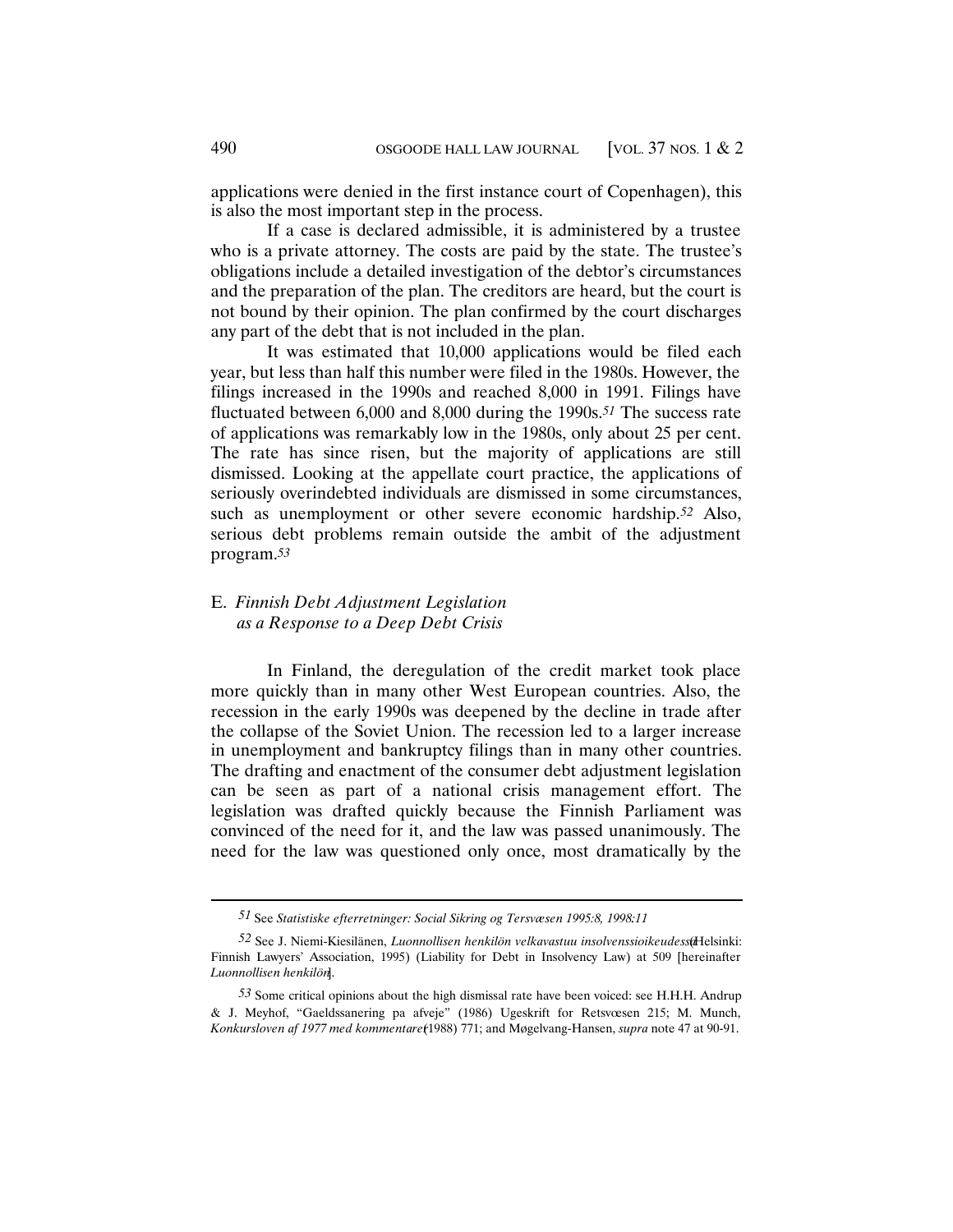applications were denied in the first instance court of Copenhagen), this is also the most important step in the process.

If a case is declared admissible, it is administered by a trustee who is a private attorney. The costs are paid by the state. The trustee's obligations include a detailed investigation of the debtor's circumstances and the preparation of the plan. The creditors are heard, but the court is not bound by their opinion. The plan confirmed by the court discharges any part of the debt that is not included in the plan.

It was estimated that 10,000 applications would be filed each year, but less than half this number were filed in the 1980s. However, the filings increased in the 1990s and reached 8,000 in 1991. Filings have fluctuated between 6,000 and 8,000 during the 1990s.*51* The success rate of applications was remarkably low in the 1980s, only about 25 per cent. The rate has since risen, but the majority of applications are still dismissed. Looking at the appellate court practice, the applications of seriously overindebted individuals are dismissed in some circumstances, such as unemployment or other severe economic hardship.*52* Also, serious debt problems remain outside the ambit of the adjustment program.*53*

# E. *Finnish Debt Adjustment Legislation as a Response to a Deep Debt Crisis*

In Finland, the deregulation of the credit market took place more quickly than in many other West European countries. Also, the recession in the early 1990s was deepened by the decline in trade after the collapse of the Soviet Union. The recession led to a larger increase in unemployment and bankruptcy filings than in many other countries. The drafting and enactment of the consumer debt adjustment legislation can be seen as part of a national crisis management effort. The legislation was drafted quickly because the Finnish Parliament was convinced of the need for it, and the law was passed unanimously. The need for the law was questioned only once, most dramatically by the

*<sup>51</sup>* See *Statistiske efterretninger: Social Sikring og Tersvæsen 1995:8, 1998:11* .

<sup>52</sup> See J. Niemi-Kiesilänen, *Luonnollisen henkilön velkavastuu insolvenssioikeudess*(Helsinki: Finnish Lawyers' Association, 1995) (Liability for Debt in Insolvency Law) at 509 [hereinafter *Luonnollisen henkilön*].

*<sup>53</sup>* Some critical opinions about the high dismissal rate have been voiced: see H.H.H. Andrup & J. Meyhof, "Gaeldssanering pa afveje" (1986) Ugeskrift for Retsvœsen 215; M. Munch, *Konkursloven af 1977 med kommentarer* (1988) 771; and Møgelvang-Hansen, *supra* note 47 at 90-91.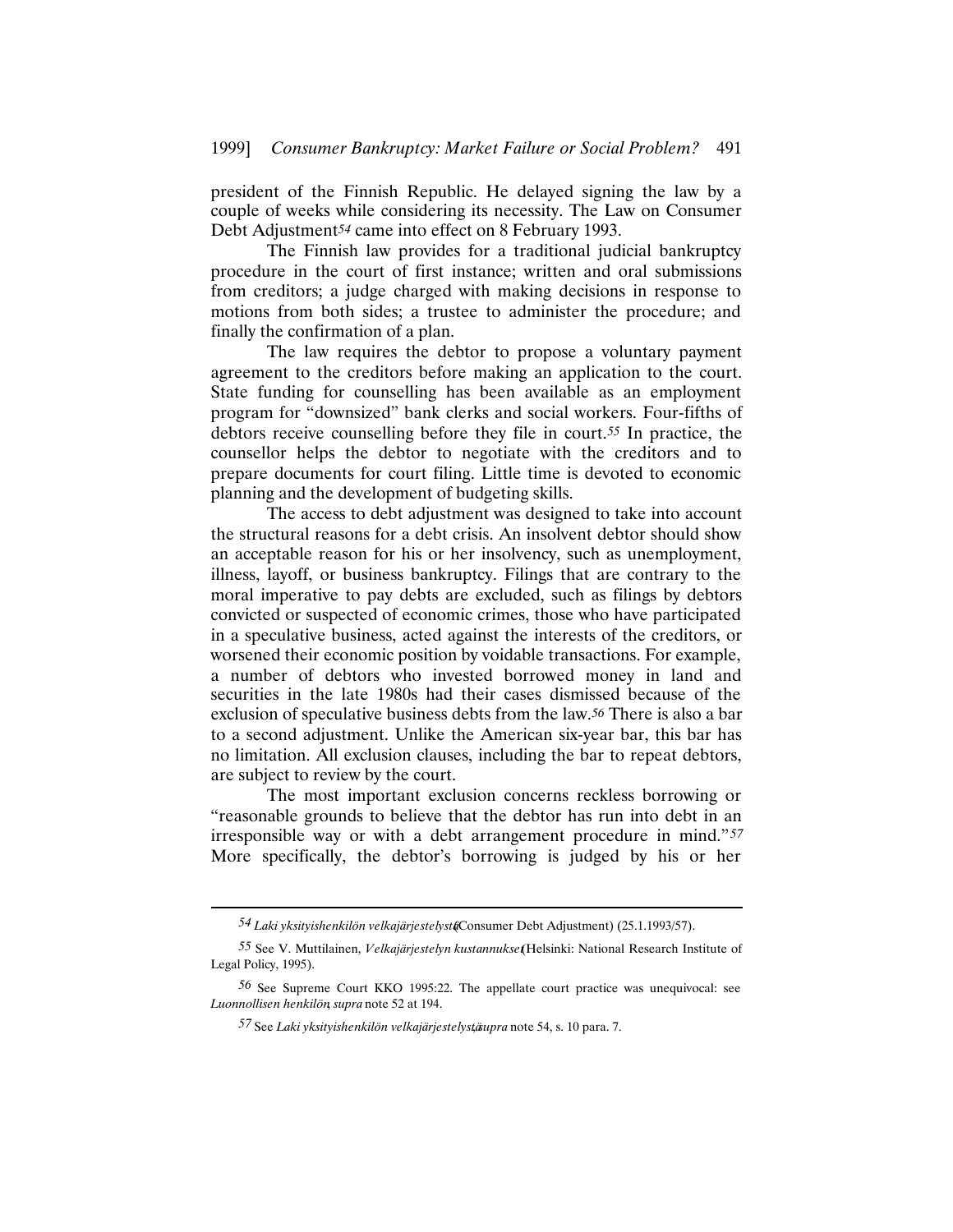president of the Finnish Republic. He delayed signing the law by a couple of weeks while considering its necessity. The Law on Consumer Debt Adjustment*54* came into effect on 8 February 1993.

The Finnish law provides for a traditional judicial bankruptcy procedure in the court of first instance; written and oral submissions from creditors; a judge charged with making decisions in response to motions from both sides; a trustee to administer the procedure; and finally the confirmation of a plan.

The law requires the debtor to propose a voluntary payment agreement to the creditors before making an application to the court. State funding for counselling has been available as an employment program for "downsized" bank clerks and social workers. Four-fifths of debtors receive counselling before they file in court.*55* In practice, the counsellor helps the debtor to negotiate with the creditors and to prepare documents for court filing. Little time is devoted to economic planning and the development of budgeting skills.

The access to debt adjustment was designed to take into account the structural reasons for a debt crisis. An insolvent debtor should show an acceptable reason for his or her insolvency, such as unemployment, illness, layoff, or business bankruptcy. Filings that are contrary to the moral imperative to pay debts are excluded, such as filings by debtors convicted or suspected of economic crimes, those who have participated in a speculative business, acted against the interests of the creditors, or worsened their economic position by voidable transactions. For example, a number of debtors who invested borrowed money in land and securities in the late 1980s had their cases dismissed because of the exclusion of speculative business debts from the law.*56* There is also a bar to a second adjustment. Unlike the American six-year bar, this bar has no limitation. All exclusion clauses, including the bar to repeat debtors, are subject to review by the court.

The most important exclusion concerns reckless borrowing or "reasonable grounds to believe that the debtor has run into debt in an irresponsible way or with a debt arrangement procedure in mind."*57* More specifically, the debtor's borrowing is judged by his or her

*<sup>54</sup> Laki yksityishenkilön velkajärjestelystä* (Consumer Debt Adjustment) (25.1.1993/57).

*<sup>55</sup>* See V. Muttilainen, *Velkajärjestelyn kustannukset* (Helsinki: National Research Institute of Legal Policy, 1995).

*<sup>56</sup>* See Supreme Court KKO 1995:22. The appellate court practice was unequivocal: see *Luonnollisen henkilön*, *supra* note 52 at 194.

*<sup>57</sup>* See *Laki yksityishenkilön velkajärjestelystä*, *supra* note 54, s. 10 para. 7.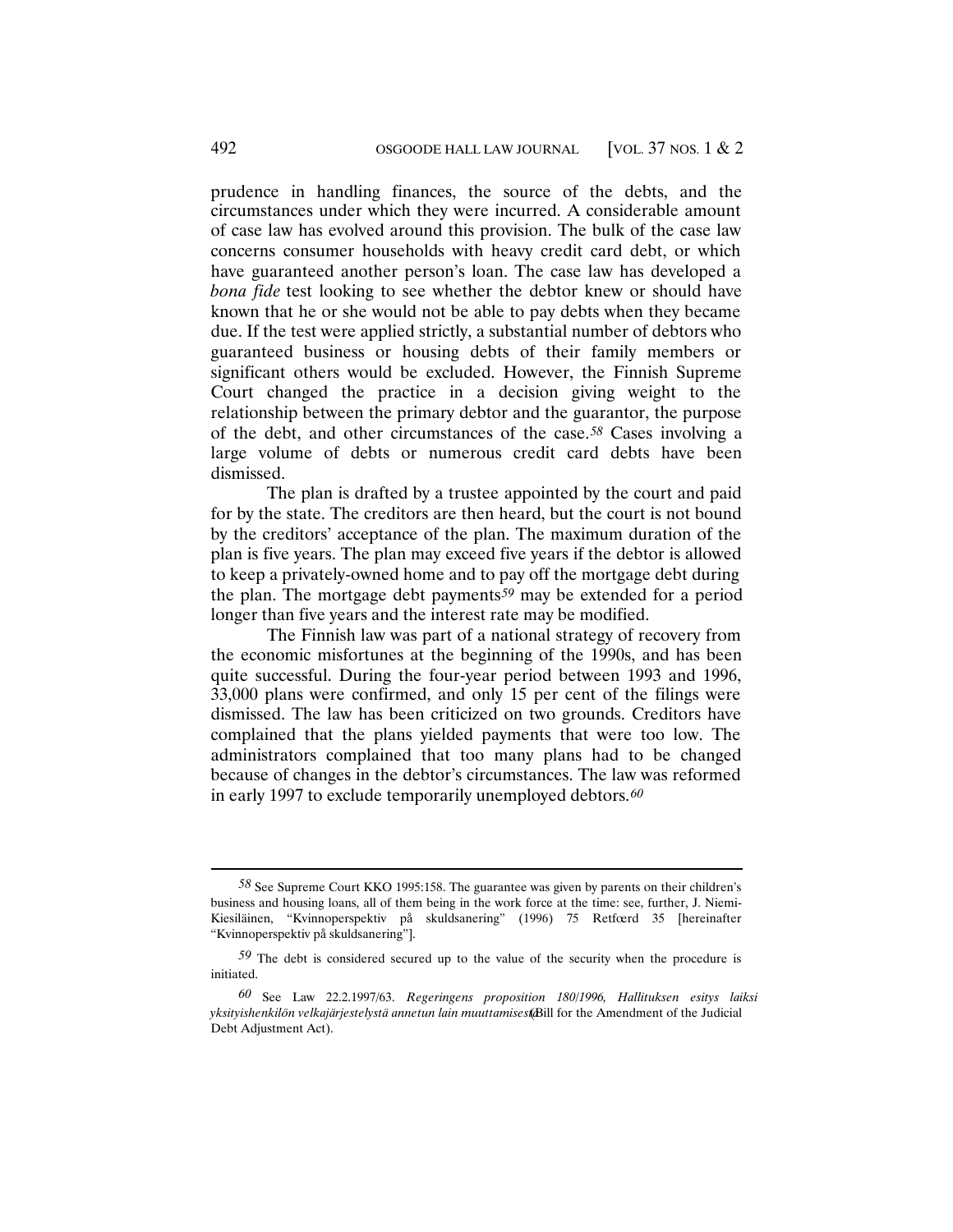prudence in handling finances, the source of the debts, and the circumstances under which they were incurred. A considerable amount of case law has evolved around this provision. The bulk of the case law concerns consumer households with heavy credit card debt, or which have guaranteed another person's loan. The case law has developed a *bona fide* test looking to see whether the debtor knew or should have known that he or she would not be able to pay debts when they became due. If the test were applied strictly, a substantial number of debtors who guaranteed business or housing debts of their family members or significant others would be excluded. However, the Finnish Supreme Court changed the practice in a decision giving weight to the relationship between the primary debtor and the guarantor, the purpose of the debt, and other circumstances of the case.*58* Cases involving a large volume of debts or numerous credit card debts have been dismissed.

The plan is drafted by a trustee appointed by the court and paid for by the state. The creditors are then heard, but the court is not bound by the creditors' acceptance of the plan. The maximum duration of the plan is five years. The plan may exceed five years if the debtor is allowed to keep a privately-owned home and to pay off the mortgage debt during the plan. The mortgage debt payments*59* may be extended for a period longer than five years and the interest rate may be modified.

The Finnish law was part of a national strategy of recovery from the economic misfortunes at the beginning of the 1990s, and has been quite successful. During the four-year period between 1993 and 1996, 33,000 plans were confirmed, and only 15 per cent of the filings were dismissed. The law has been criticized on two grounds. Creditors have complained that the plans yielded payments that were too low. The administrators complained that too many plans had to be changed because of changes in the debtor's circumstances. The law was reformed in early 1997 to exclude temporarily unemployed debtors.*60*

*<sup>58</sup>* See Supreme Court KKO 1995:158. The guarantee was given by parents on their children's business and housing loans, all of them being in the work force at the time: see, further, J. Niemi-Kiesiläinen, "Kvinnoperspektiv på skuldsanering" (1996) 75 Retfœrd 35 [hereinafter "Kvinnoperspektiv på skuldsanering"].

*<sup>59</sup>* The debt is considered secured up to the value of the security when the procedure is initiated.

*<sup>60</sup>* See Law 22.2.1997/63. *Regeringens proposition 180/1996, Hallituksen esitys laiksi yksityishenkilön velkajärjestelystä annetun lain muuttamisesta* (Bill for the Amendment of the Judicial Debt Adjustment Act).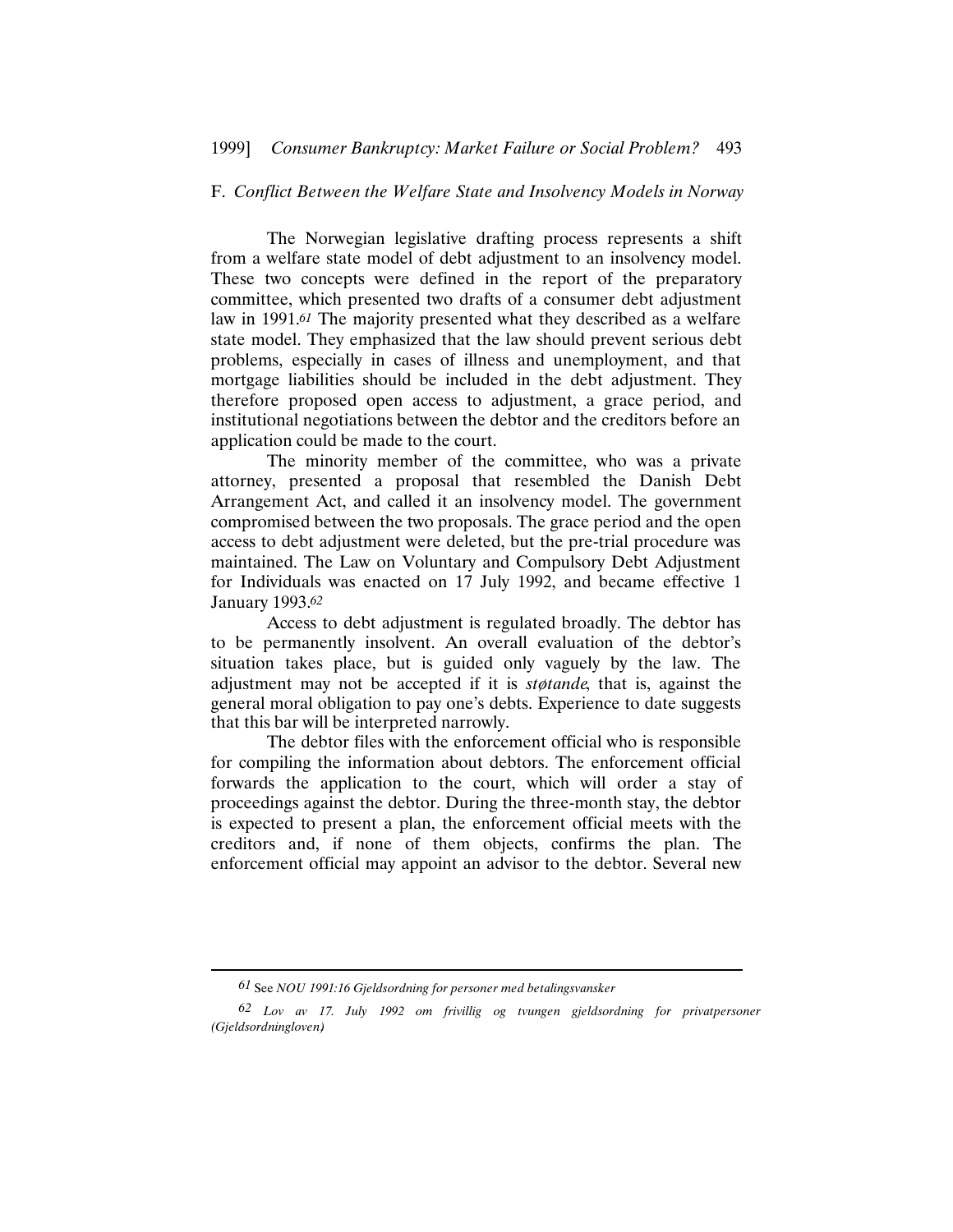## F. *Conflict Between the Welfare State and Insolvency Models in Norway*

The Norwegian legislative drafting process represents a shift from a welfare state model of debt adjustment to an insolvency model. These two concepts were defined in the report of the preparatory committee, which presented two drafts of a consumer debt adjustment law in 1991.*61* The majority presented what they described as a welfare state model. They emphasized that the law should prevent serious debt problems, especially in cases of illness and unemployment, and that mortgage liabilities should be included in the debt adjustment. They therefore proposed open access to adjustment, a grace period, and institutional negotiations between the debtor and the creditors before an application could be made to the court.

The minority member of the committee, who was a private attorney, presented a proposal that resembled the Danish Debt Arrangement Act, and called it an insolvency model. The government compromised between the two proposals. The grace period and the open access to debt adjustment were deleted, but the pre-trial procedure was maintained. The Law on Voluntary and Compulsory Debt Adjustment for Individuals was enacted on 17 July 1992, and became effective 1 January 1993.*62*

Access to debt adjustment is regulated broadly. The debtor has to be permanently insolvent. An overall evaluation of the debtor's situation takes place, but is guided only vaguely by the law. The adjustment may not be accepted if it is *støtande*, that is, against the general moral obligation to pay one's debts. Experience to date suggests that this bar will be interpreted narrowly.

The debtor files with the enforcement official who is responsible for compiling the information about debtors. The enforcement official forwards the application to the court, which will order a stay of proceedings against the debtor. During the three-month stay, the debtor is expected to present a plan, the enforcement official meets with the creditors and, if none of them objects, confirms the plan. The enforcement official may appoint an advisor to the debtor. Several new

*<sup>61</sup>* See *NOU 1991:16 Gjeldsordning for personer med betalingsvansker* .

*<sup>62</sup> Lov av 17. July 1992 om frivillig og tvungen gjeldsordning for privatpersoner (Gjeldsordningloven)*.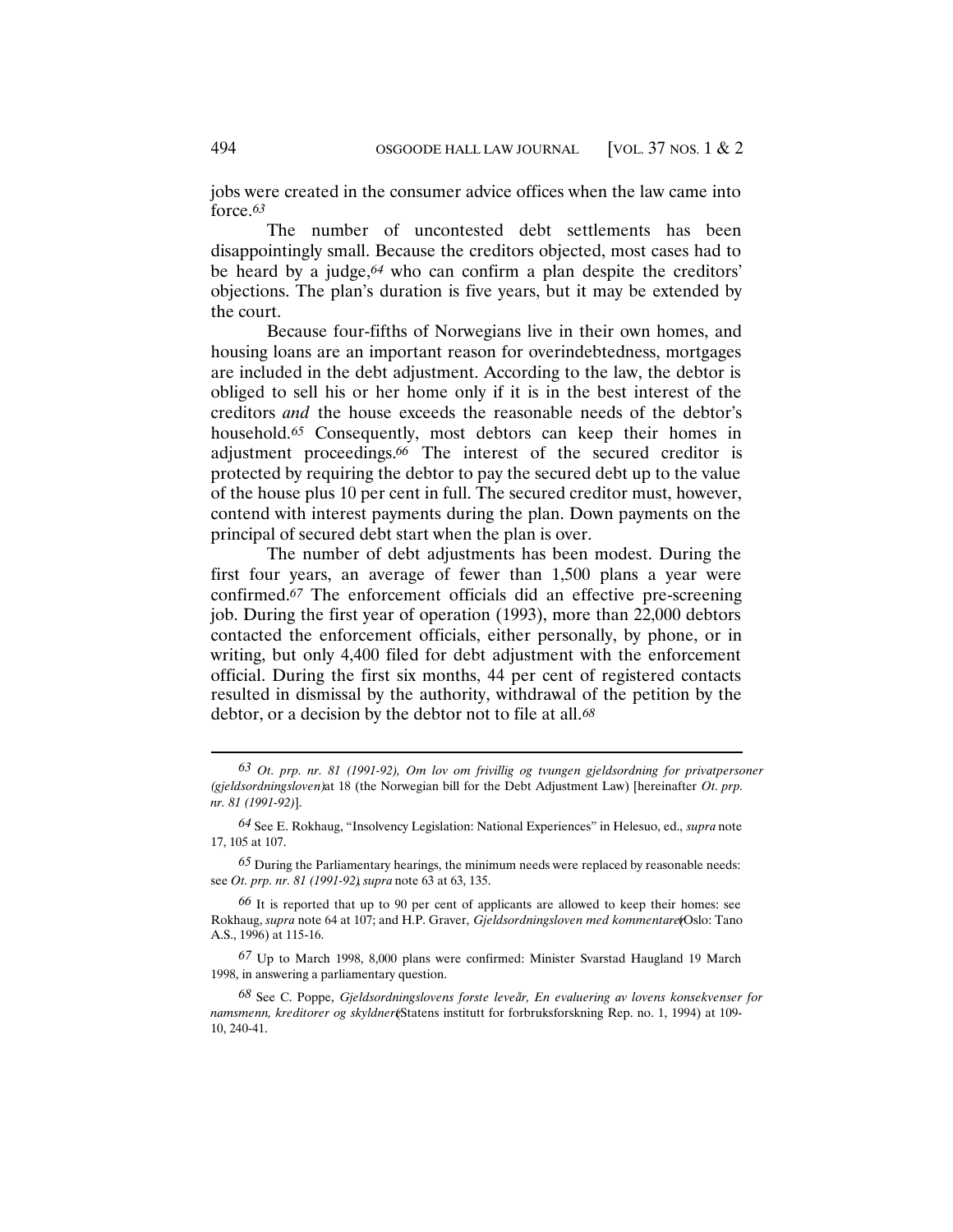jobs were created in the consumer advice offices when the law came into force.*63*

The number of uncontested debt settlements has been disappointingly small. Because the creditors objected, most cases had to be heard by a judge,*64* who can confirm a plan despite the creditors' objections. The plan's duration is five years, but it may be extended by the court.

Because four-fifths of Norwegians live in their own homes, and housing loans are an important reason for overindebtedness, mortgages are included in the debt adjustment. According to the law, the debtor is obliged to sell his or her home only if it is in the best interest of the creditors *and* the house exceeds the reasonable needs of the debtor's household.<sup>65</sup> Consequently, most debtors can keep their homes in adjustment proceedings.*66* The interest of the secured creditor is protected by requiring the debtor to pay the secured debt up to the value of the house plus 10 per cent in full. The secured creditor must, however, contend with interest payments during the plan. Down payments on the principal of secured debt start when the plan is over.

The number of debt adjustments has been modest. During the first four years, an average of fewer than 1,500 plans a year were confirmed.*67* The enforcement officials did an effective pre-screening job. During the first year of operation (1993), more than 22,000 debtors contacted the enforcement officials, either personally, by phone, or in writing, but only 4,400 filed for debt adjustment with the enforcement official. During the first six months, 44 per cent of registered contacts resulted in dismissal by the authority, withdrawal of the petition by the debtor, or a decision by the debtor not to file at all.*68*

*<sup>63</sup> Ot. prp. nr. 81 (1991-92), Om lov om frivillig og tvungen gjeldsordning for privatpersoner (gjeldsordningsloven)* at 18 (the Norwegian bill for the Debt Adjustment Law) [hereinafter *Ot. prp. nr. 81 (1991-92)*].

*<sup>64</sup>* See E. Rokhaug, "Insolvency Legislation: National Experiences" in Helesuo, ed., *supra* note 17, 105 at 107.

*<sup>65</sup>* During the Parliamentary hearings, the minimum needs were replaced by reasonable needs: see *Ot. prp. nr. 81 (1991-92)*, *supra* note 63 at 63, 135.

*<sup>66</sup>* It is reported that up to 90 per cent of applicants are allowed to keep their homes: see Rokhaug, *supra* note 64 at 107; and H.P. Graver, *Gjeldsordningsloven med kommentare*(Oslo: Tano A.S., 1996) at 115-16.

*<sup>67</sup>* Up to March 1998, 8,000 plans were confirmed: Minister Svarstad Haugland 19 March 1998, in answering a parliamentary question.

*<sup>68</sup>* See C. Poppe, *Gjeldsordningslovens forste leveår, En evaluering av lovens konsekvenser for namsmenn, kreditorer og skyldner* (Statens institutt for forbruksforskning Rep. no. 1, 1994) at 109-10, 240-41.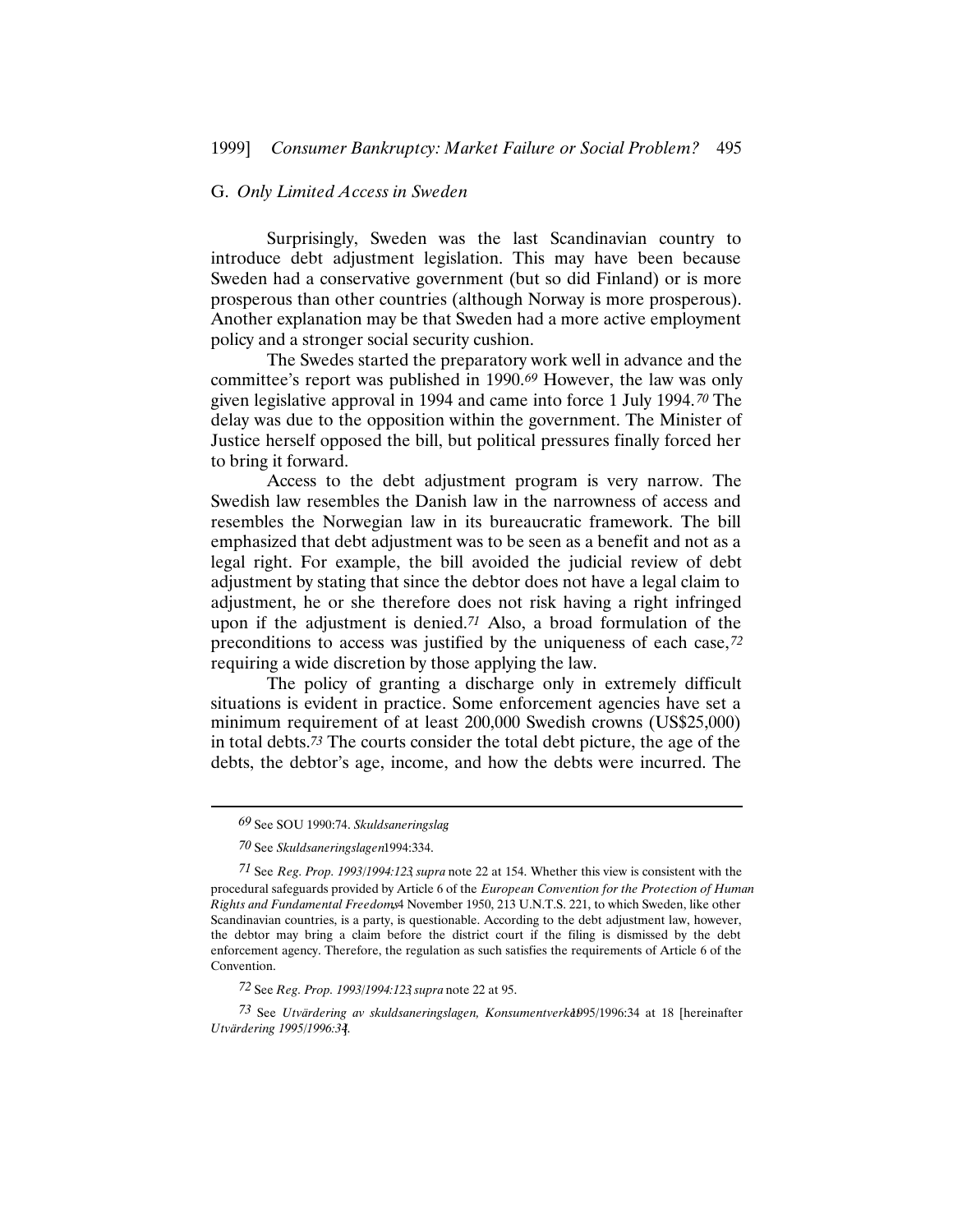# G. *Only Limited Access in Sweden*

Surprisingly, Sweden was the last Scandinavian country to introduce debt adjustment legislation. This may have been because Sweden had a conservative government (but so did Finland) or is more prosperous than other countries (although Norway is more prosperous). Another explanation may be that Sweden had a more active employment policy and a stronger social security cushion.

The Swedes started the preparatory work well in advance and the committee's report was published in 1990.*69* However, the law was only given legislative approval in 1994 and came into force 1 July 1994.*70* The delay was due to the opposition within the government. The Minister of Justice herself opposed the bill, but political pressures finally forced her to bring it forward.

Access to the debt adjustment program is very narrow. The Swedish law resembles the Danish law in the narrowness of access and resembles the Norwegian law in its bureaucratic framework. The bill emphasized that debt adjustment was to be seen as a benefit and not as a legal right. For example, the bill avoided the judicial review of debt adjustment by stating that since the debtor does not have a legal claim to adjustment, he or she therefore does not risk having a right infringed upon if the adjustment is denied.*71* Also, a broad formulation of the preconditions to access was justified by the uniqueness of each case,*72* requiring a wide discretion by those applying the law.

The policy of granting a discharge only in extremely difficult situations is evident in practice. Some enforcement agencies have set a minimum requirement of at least 200,000 Swedish crowns (US\$25,000) in total debts.*73* The courts consider the total debt picture, the age of the debts, the debtor's age, income, and how the debts were incurred. The

*<sup>69</sup>* See SOU 1990:74. *Skuldsaneringslag*.

*<sup>70</sup>* See *Skuldsaneringslagen* 1994:334.

*<sup>71</sup>* See *Reg. Prop. 1993/1994:123*, *supra* note 22 at 154. Whether this view is consistent with the procedural safeguards provided by Article 6 of the *European Convention for the Protection of Human Rights and Fundamental Freedoms*, 4 November 1950, 213 U.N.T.S. 221, to which Sweden, like other Scandinavian countries, is a party, is questionable. According to the debt adjustment law, however, the debtor may bring a claim before the district court if the filing is dismissed by the debt enforcement agency. Therefore, the regulation as such satisfies the requirements of Article 6 of the Convention.

*<sup>72</sup>* See *Reg. Prop. 1993/1994:123*, *supra* note 22 at 95.

<sup>73</sup> See *Utvärdering av skuldsaneringslagen, Konsumentverka*b95/1996:34 at 18 [hereinafter *Utvärdering 1995/1996:34*].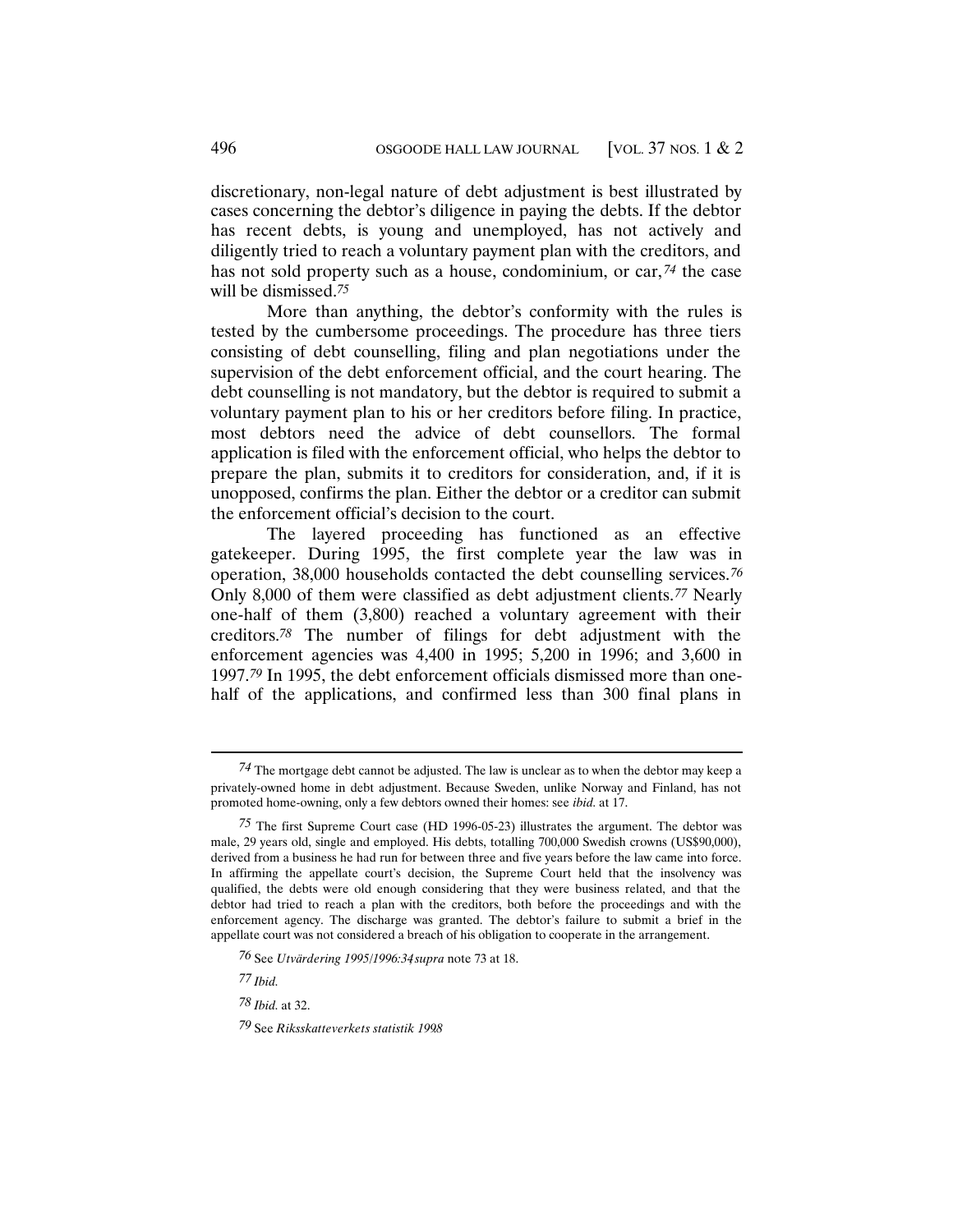discretionary, non-legal nature of debt adjustment is best illustrated by cases concerning the debtor's diligence in paying the debts. If the debtor has recent debts, is young and unemployed, has not actively and diligently tried to reach a voluntary payment plan with the creditors, and has not sold property such as a house, condominium, or car,*74* the case will be dismissed.*75*

More than anything, the debtor's conformity with the rules is tested by the cumbersome proceedings. The procedure has three tiers consisting of debt counselling, filing and plan negotiations under the supervision of the debt enforcement official, and the court hearing. The debt counselling is not mandatory, but the debtor is required to submit a voluntary payment plan to his or her creditors before filing. In practice, most debtors need the advice of debt counsellors. The formal application is filed with the enforcement official, who helps the debtor to prepare the plan, submits it to creditors for consideration, and, if it is unopposed, confirms the plan. Either the debtor or a creditor can submit the enforcement official's decision to the court.

The layered proceeding has functioned as an effective gatekeeper. During 1995, the first complete year the law was in operation, 38,000 households contacted the debt counselling services.*76* Only 8,000 of them were classified as debt adjustment clients.*77* Nearly one-half of them (3,800) reached a voluntary agreement with their creditors.*78* The number of filings for debt adjustment with the enforcement agencies was 4,400 in 1995; 5,200 in 1996; and 3,600 in 1997.*79* In 1995, the debt enforcement officials dismissed more than onehalf of the applications, and confirmed less than 300 final plans in

*<sup>74</sup>* The mortgage debt cannot be adjusted. The law is unclear as to when the debtor may keep a privately-owned home in debt adjustment. Because Sweden, unlike Norway and Finland, has not promoted home-owning, only a few debtors owned their homes: see *ibid.* at 17.

*<sup>75</sup>* The first Supreme Court case (HD 1996-05-23) illustrates the argument. The debtor was male, 29 years old, single and employed. His debts, totalling 700,000 Swedish crowns (US\$90,000), derived from a business he had run for between three and five years before the law came into force. In affirming the appellate court's decision, the Supreme Court held that the insolvency was qualified, the debts were old enough considering that they were business related, and that the debtor had tried to reach a plan with the creditors, both before the proceedings and with the enforcement agency. The discharge was granted. The debtor's failure to submit a brief in the appellate court was not considered a breach of his obligation to cooperate in the arrangement.

*<sup>76</sup>* See *Utvärdering 1995/1996:34*, *supra* note 73 at 18.

*<sup>77</sup> Ibid.*

*<sup>78</sup> Ibid.* at 32.

*<sup>79</sup>* See *Riksskatteverkets statistik 1998*.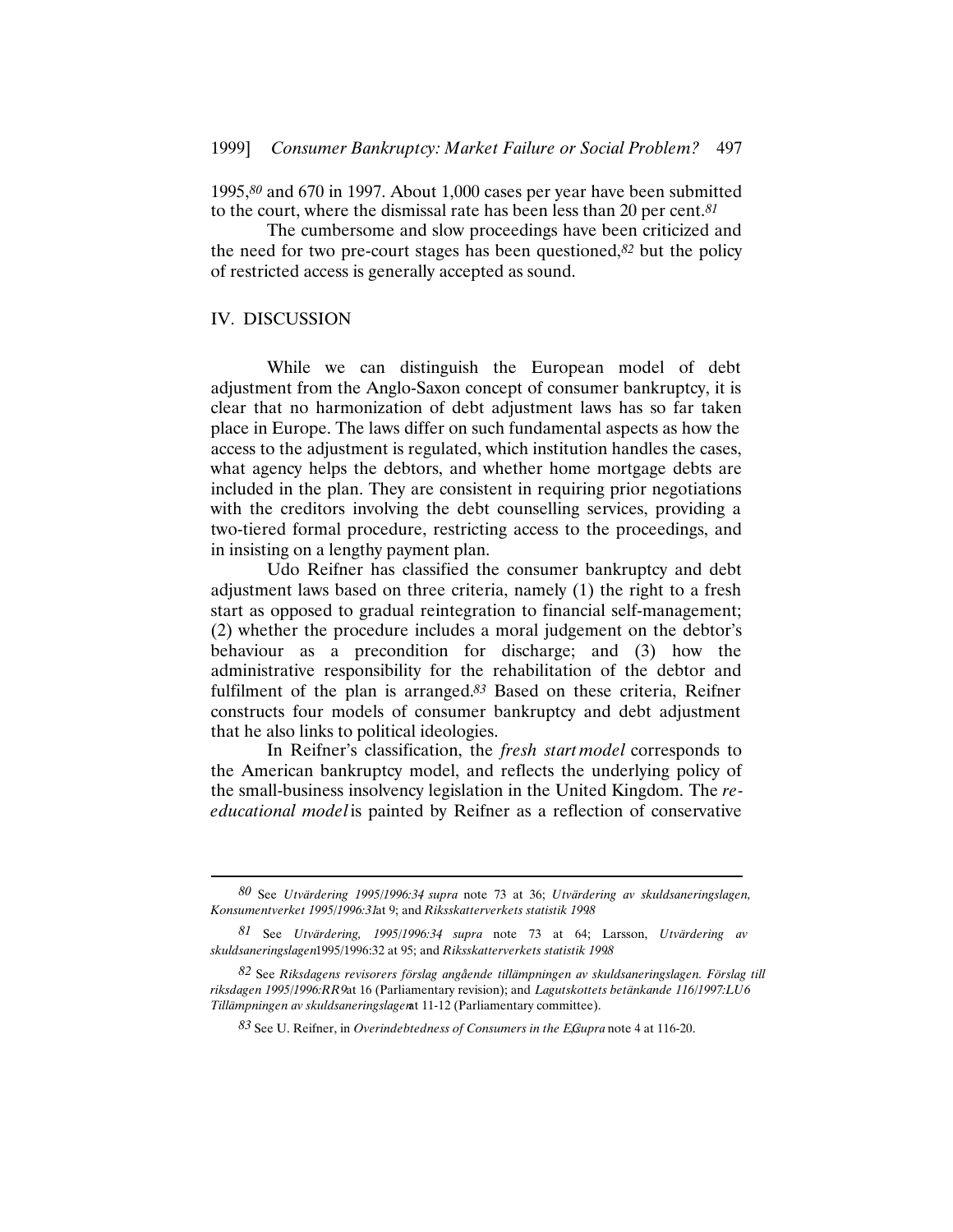1995,*80* and 670 in 1997. About 1,000 cases per year have been submitted to the court, where the dismissal rate has been less than 20 per cent.*81*

The cumbersome and slow proceedings have been criticized and the need for two pre-court stages has been questioned,*82* but the policy of restricted access is generally accepted as sound.

#### IV. DISCUSSION

While we can distinguish the European model of debt adjustment from the Anglo-Saxon concept of consumer bankruptcy, it is clear that no harmonization of debt adjustment laws has so far taken place in Europe. The laws differ on such fundamental aspects as how the access to the adjustment is regulated, which institution handles the cases, what agency helps the debtors, and whether home mortgage debts are included in the plan. They are consistent in requiring prior negotiations with the creditors involving the debt counselling services, providing a two-tiered formal procedure, restricting access to the proceedings, and in insisting on a lengthy payment plan.

Udo Reifner has classified the consumer bankruptcy and debt adjustment laws based on three criteria, namely (1) the right to a fresh start as opposed to gradual reintegration to financial self-management; (2) whether the procedure includes a moral judgement on the debtor's behaviour as a precondition for discharge; and (3) how the administrative responsibility for the rehabilitation of the debtor and fulfilment of the plan is arranged.*83* Based on these criteria, Reifner constructs four models of consumer bankruptcy and debt adjustment that he also links to political ideologies.

In Reifner's classification, the *fresh startmodel* corresponds to the American bankruptcy model, and reflects the underlying policy of the small-business insolvency legislation in the United Kingdom. The *reeducational model* is painted by Reifner as a reflection of conservative

*<sup>80</sup>* See *Utvärdering 1995/1996:34*, *supra* note 73 at 36; *Utvärdering av skuldsaneringslagen, Konsumentverket 1995/1996:31* at 9; and *Riksskatterverkets statistik 1998*.

*<sup>81</sup>* See *Utvärdering, 1995/1996:34*, *supra* note 73 at 64; Larsson, *Utvärdering av skuldsaneringslagen* 1995/1996:32 at 95; and *Riksskatterverkets statistik 1998*.

*<sup>82</sup>* See *Riksdagens revisorers förslag angående tillämpningen av skuldsaneringslagen. Förslag till riksdagen 1995/1996:RR9* at 16 (Parliamentary revision); and *Lagutskottets betänkande 116/1997:LU6 Tillämpningen av skuldsaneringslagen* at 11-12 (Parliamentary committee).

*<sup>83</sup>* See U. Reifner, in *Overindebtedness of Consumers in the EC*, *supra* note 4 at 116-20.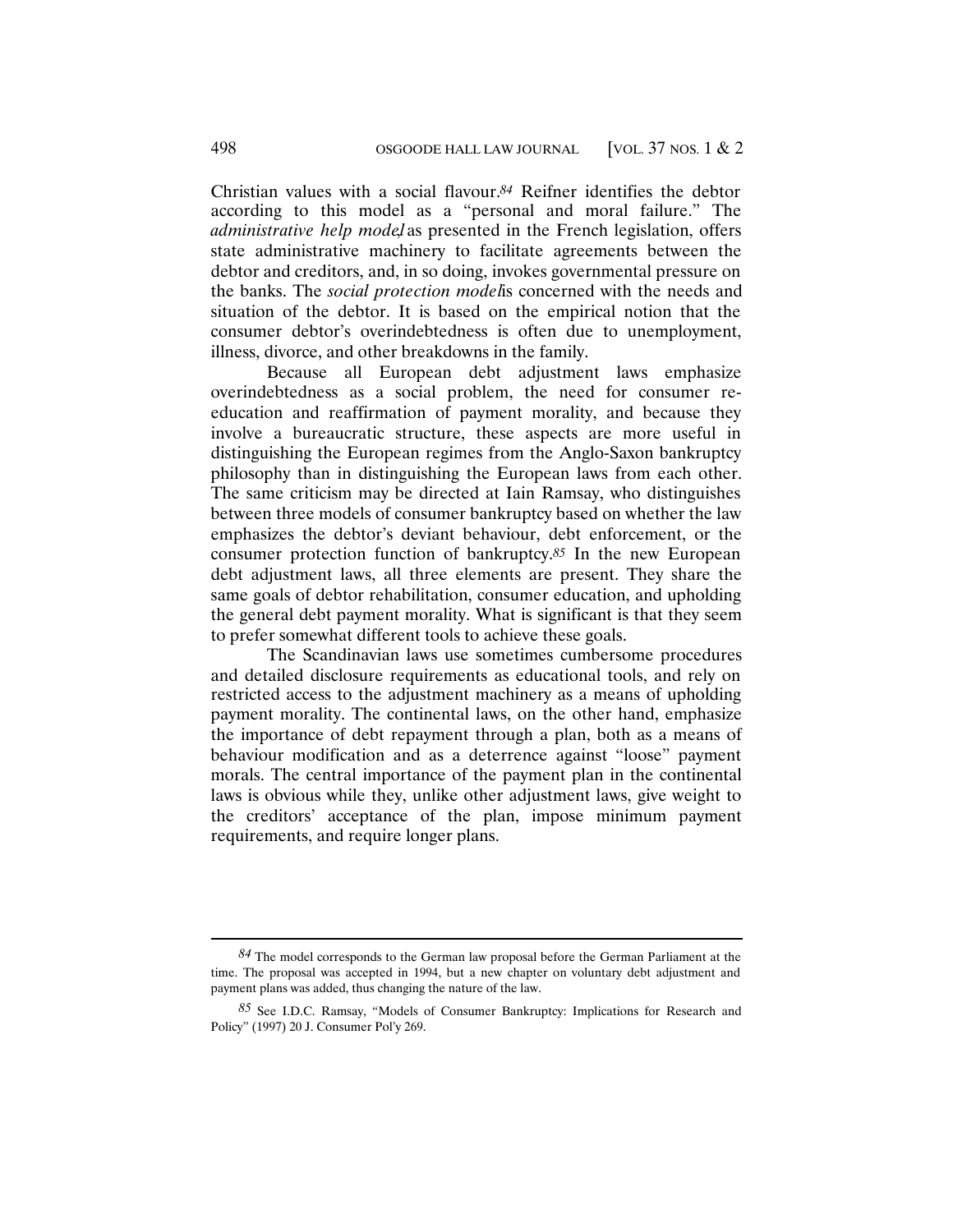Christian values with a social flavour.*84* Reifner identifies the debtor according to this model as a "personal and moral failure." The *administrative help model* as presented in the French legislation, offers state administrative machinery to facilitate agreements between the debtor and creditors, and, in so doing, invokes governmental pressure on the banks. The *social protection model* is concerned with the needs and situation of the debtor. It is based on the empirical notion that the consumer debtor's overindebtedness is often due to unemployment, illness, divorce, and other breakdowns in the family.

Because all European debt adjustment laws emphasize overindebtedness as a social problem, the need for consumer reeducation and reaffirmation of payment morality, and because they involve a bureaucratic structure, these aspects are more useful in distinguishing the European regimes from the Anglo-Saxon bankruptcy philosophy than in distinguishing the European laws from each other. The same criticism may be directed at Iain Ramsay, who distinguishes between three models of consumer bankruptcy based on whether the law emphasizes the debtor's deviant behaviour, debt enforcement, or the consumer protection function of bankruptcy.*85* In the new European debt adjustment laws, all three elements are present. They share the same goals of debtor rehabilitation, consumer education, and upholding the general debt payment morality. What is significant is that they seem to prefer somewhat different tools to achieve these goals.

The Scandinavian laws use sometimes cumbersome procedures and detailed disclosure requirements as educational tools, and rely on restricted access to the adjustment machinery as a means of upholding payment morality. The continental laws, on the other hand, emphasize the importance of debt repayment through a plan, both as a means of behaviour modification and as a deterrence against "loose" payment morals. The central importance of the payment plan in the continental laws is obvious while they, unlike other adjustment laws, give weight to the creditors' acceptance of the plan, impose minimum payment requirements, and require longer plans.

*<sup>84</sup>* The model corresponds to the German law proposal before the German Parliament at the time. The proposal was accepted in 1994, but a new chapter on voluntary debt adjustment and payment plans was added, thus changing the nature of the law.

*<sup>85</sup>* See I.D.C. Ramsay, "Models of Consumer Bankruptcy: Implications for Research and Policy" (1997) 20 J. Consumer Pol'y 269.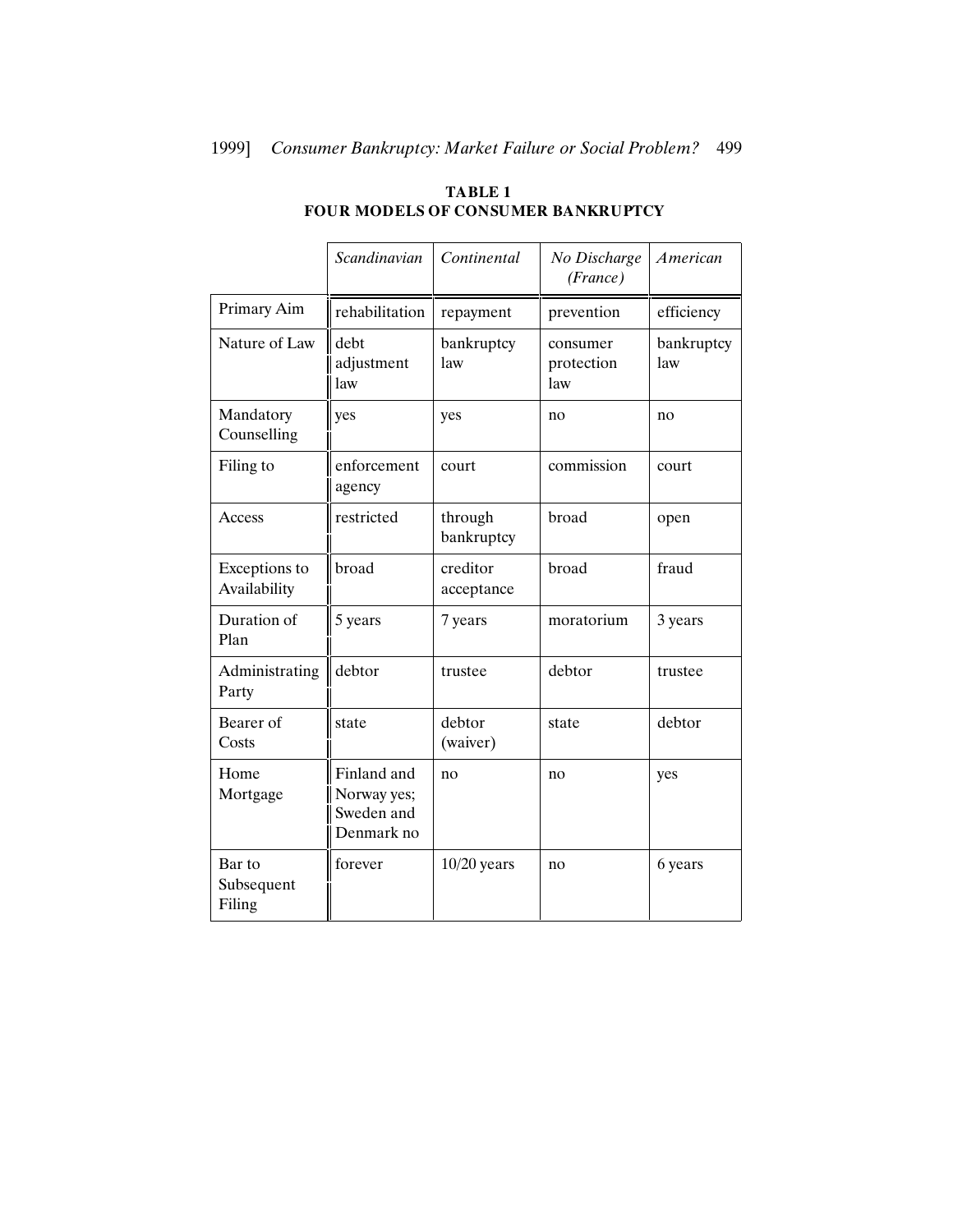|                                | Scandinavian                                           | Continental            | No Discharge<br>(France)      | <b>American</b>   |
|--------------------------------|--------------------------------------------------------|------------------------|-------------------------------|-------------------|
| Primary Aim                    | rehabilitation                                         | repayment              | prevention                    | efficiency        |
| Nature of Law                  | debt<br>adjustment<br>law                              | bankruptcy<br>law      | consumer<br>protection<br>law | bankruptcy<br>law |
| Mandatory<br>Counselling       | yes                                                    | yes                    | no                            | no                |
| Filing to                      | enforcement<br>agency                                  | court                  | commission                    | court             |
| Access                         | restricted                                             | through<br>bankruptcy  | broad                         | open              |
| Exceptions to<br>Availability  | broad                                                  | creditor<br>acceptance | broad                         | fraud             |
| Duration of<br>Plan            | 5 years                                                | 7 years                | moratorium                    | 3 years           |
| Administrating<br>Party        | debtor                                                 | trustee                | debtor                        | trustee           |
| Bearer of<br>Costs             | state                                                  | debtor<br>(waiver)     | state                         | debtor            |
| Home<br>Mortgage               | Finland and<br>Norway yes;<br>Sweden and<br>Denmark no | n <sub>0</sub>         | no                            | yes               |
| Bar to<br>Subsequent<br>Filing | forever                                                | $10/20$ years          | no                            | 6 years           |

# **TABLE 1 FOUR MODELS OF CONSUMER BANKRUPTCY**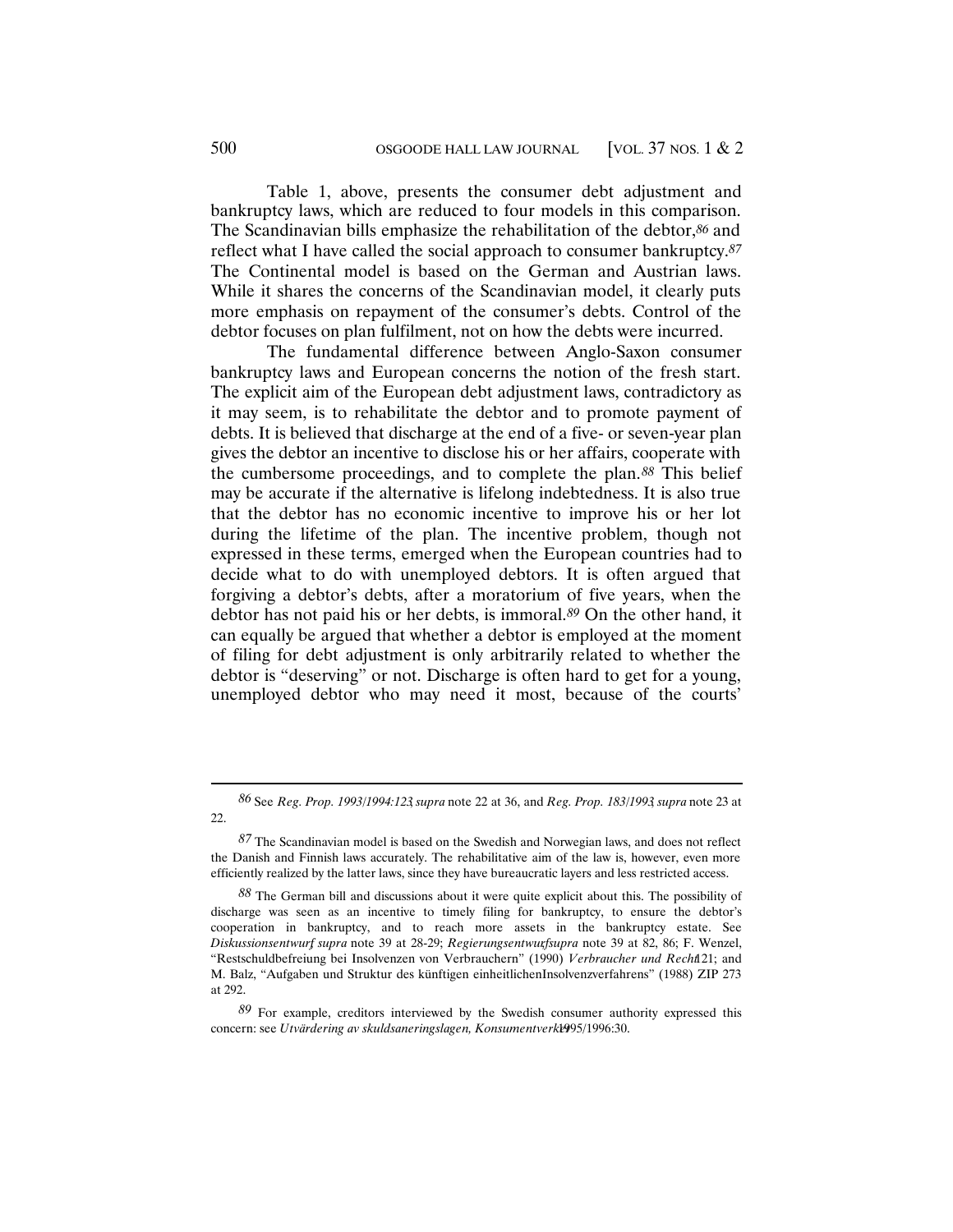Table 1, above, presents the consumer debt adjustment and bankruptcy laws, which are reduced to four models in this comparison. The Scandinavian bills emphasize the rehabilitation of the debtor,*86* and reflect what I have called the social approach to consumer bankruptcy.*87* The Continental model is based on the German and Austrian laws. While it shares the concerns of the Scandinavian model, it clearly puts more emphasis on repayment of the consumer's debts. Control of the debtor focuses on plan fulfilment, not on how the debts were incurred.

The fundamental difference between Anglo-Saxon consumer bankruptcy laws and European concerns the notion of the fresh start. The explicit aim of the European debt adjustment laws, contradictory as it may seem, is to rehabilitate the debtor and to promote payment of debts. It is believed that discharge at the end of a five- or seven-year plan gives the debtor an incentive to disclose his or her affairs, cooperate with the cumbersome proceedings, and to complete the plan.*88* This belief may be accurate if the alternative is lifelong indebtedness. It is also true that the debtor has no economic incentive to improve his or her lot during the lifetime of the plan. The incentive problem, though not expressed in these terms, emerged when the European countries had to decide what to do with unemployed debtors. It is often argued that forgiving a debtor's debts, after a moratorium of five years, when the debtor has not paid his or her debts, is immoral.*89* On the other hand, it can equally be argued that whether a debtor is employed at the moment of filing for debt adjustment is only arbitrarily related to whether the debtor is "deserving" or not. Discharge is often hard to get for a young, unemployed debtor who may need it most, because of the courts'

*<sup>86</sup>* See *Reg. Prop. 1993/1994:123*, *supra* note 22 at 36, and *Reg. Prop. 183/1993*, *supra* note 23 at 22.

*<sup>87</sup>* The Scandinavian model is based on the Swedish and Norwegian laws, and does not reflect the Danish and Finnish laws accurately. The rehabilitative aim of the law is, however, even more efficiently realized by the latter laws, since they have bureaucratic layers and less restricted access.

*<sup>88</sup>* The German bill and discussions about it were quite explicit about this. The possibility of discharge was seen as an incentive to timely filing for bankruptcy, to ensure the debtor's cooperation in bankruptcy, and to reach more assets in the bankruptcy estate. See *Diskussionsentwurf*, *supra* note 39 at 28-29; *Regierungsentwurf*, *supra* note 39 at 82, 86; F. Wenzel, "Restschuldbefreiung bei Insolvenzen von Verbrauchern" (1990) *Verbraucher und Recht* 121; and M. Balz, "Aufgaben und Struktur des künftigen einheitlichenInsolvenzverfahrens" (1988) ZIP 273 at 292.

*<sup>89</sup>* For example, creditors interviewed by the Swedish consumer authority expressed this concern: see *Utvärdering av skuldsaneringslagen, Konsumentverkt*995/1996:30.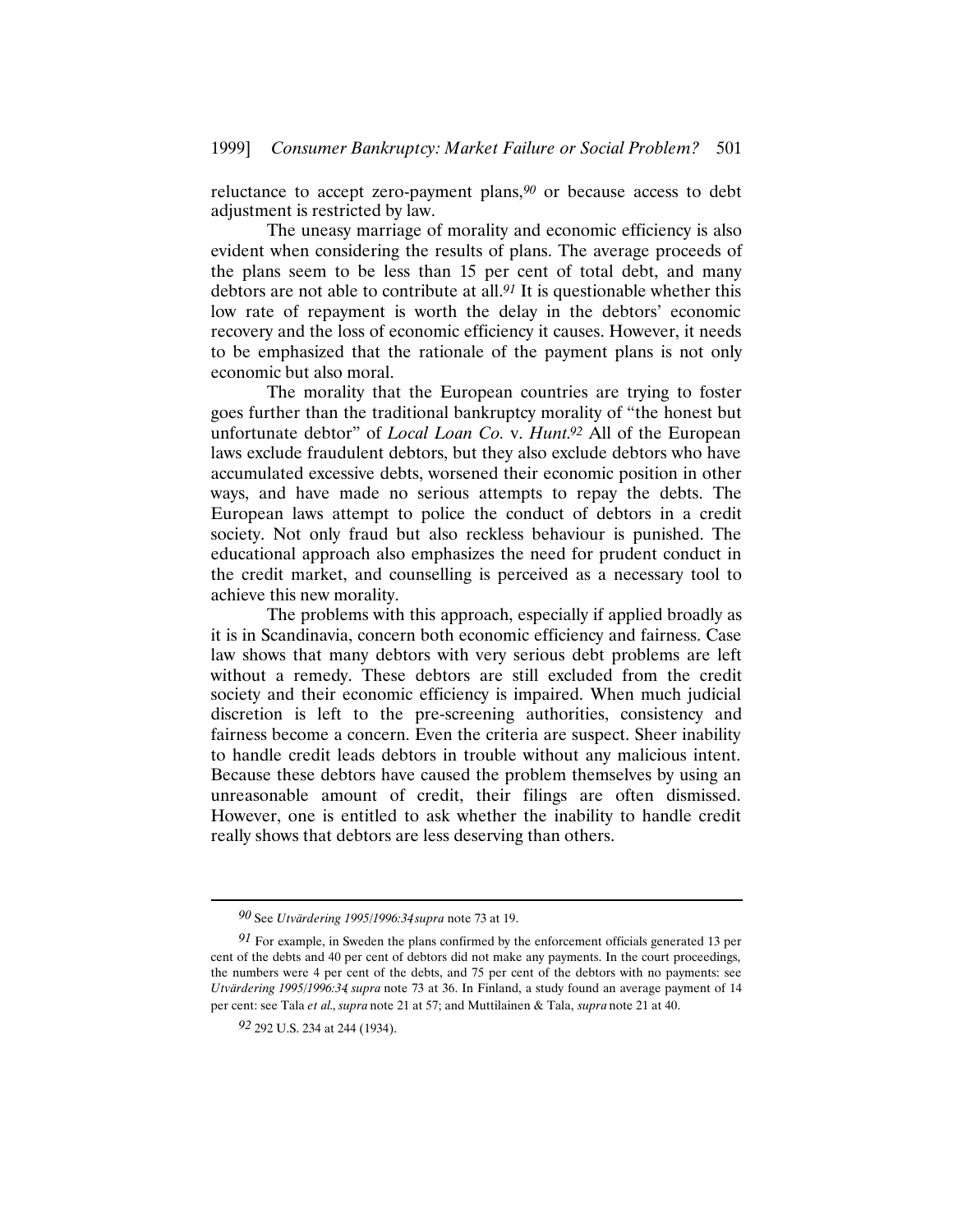reluctance to accept zero-payment plans,*90* or because access to debt adjustment is restricted by law.

The uneasy marriage of morality and economic efficiency is also evident when considering the results of plans. The average proceeds of the plans seem to be less than 15 per cent of total debt, and many debtors are not able to contribute at all.*91* It is questionable whether this low rate of repayment is worth the delay in the debtors' economic recovery and the loss of economic efficiency it causes. However, it needs to be emphasized that the rationale of the payment plans is not only economic but also moral.

The morality that the European countries are trying to foster goes further than the traditional bankruptcy morality of "the honest but unfortunate debtor" of *Local Loan Co.* v. *Hunt*.*92* All of the European laws exclude fraudulent debtors, but they also exclude debtors who have accumulated excessive debts, worsened their economic position in other ways, and have made no serious attempts to repay the debts. The European laws attempt to police the conduct of debtors in a credit society. Not only fraud but also reckless behaviour is punished. The educational approach also emphasizes the need for prudent conduct in the credit market, and counselling is perceived as a necessary tool to achieve this new morality.

The problems with this approach, especially if applied broadly as it is in Scandinavia, concern both economic efficiency and fairness. Case law shows that many debtors with very serious debt problems are left without a remedy. These debtors are still excluded from the credit society and their economic efficiency is impaired. When much judicial discretion is left to the pre-screening authorities, consistency and fairness become a concern. Even the criteria are suspect. Sheer inability to handle credit leads debtors in trouble without any malicious intent. Because these debtors have caused the problem themselves by using an unreasonable amount of credit, their filings are often dismissed. However, one is entitled to ask whether the inability to handle credit really shows that debtors are less deserving than others.

*<sup>90</sup>* See *Utvärdering 1995/1996:34*, *supra* note 73 at 19.

*<sup>91</sup>* For example, in Sweden the plans confirmed by the enforcement officials generated 13 per cent of the debts and 40 per cent of debtors did not make any payments. In the court proceedings, the numbers were 4 per cent of the debts, and 75 per cent of the debtors with no payments: see *Utvärdering 1995/1996:34*, *supra* note 73 at 36. In Finland, a study found an average payment of 14 per cent: see Tala *et al.*, *supra* note 21 at 57; and Muttilainen & Tala, *supra* note 21 at 40.

*<sup>92</sup>* 292 U.S. 234 at 244 (1934).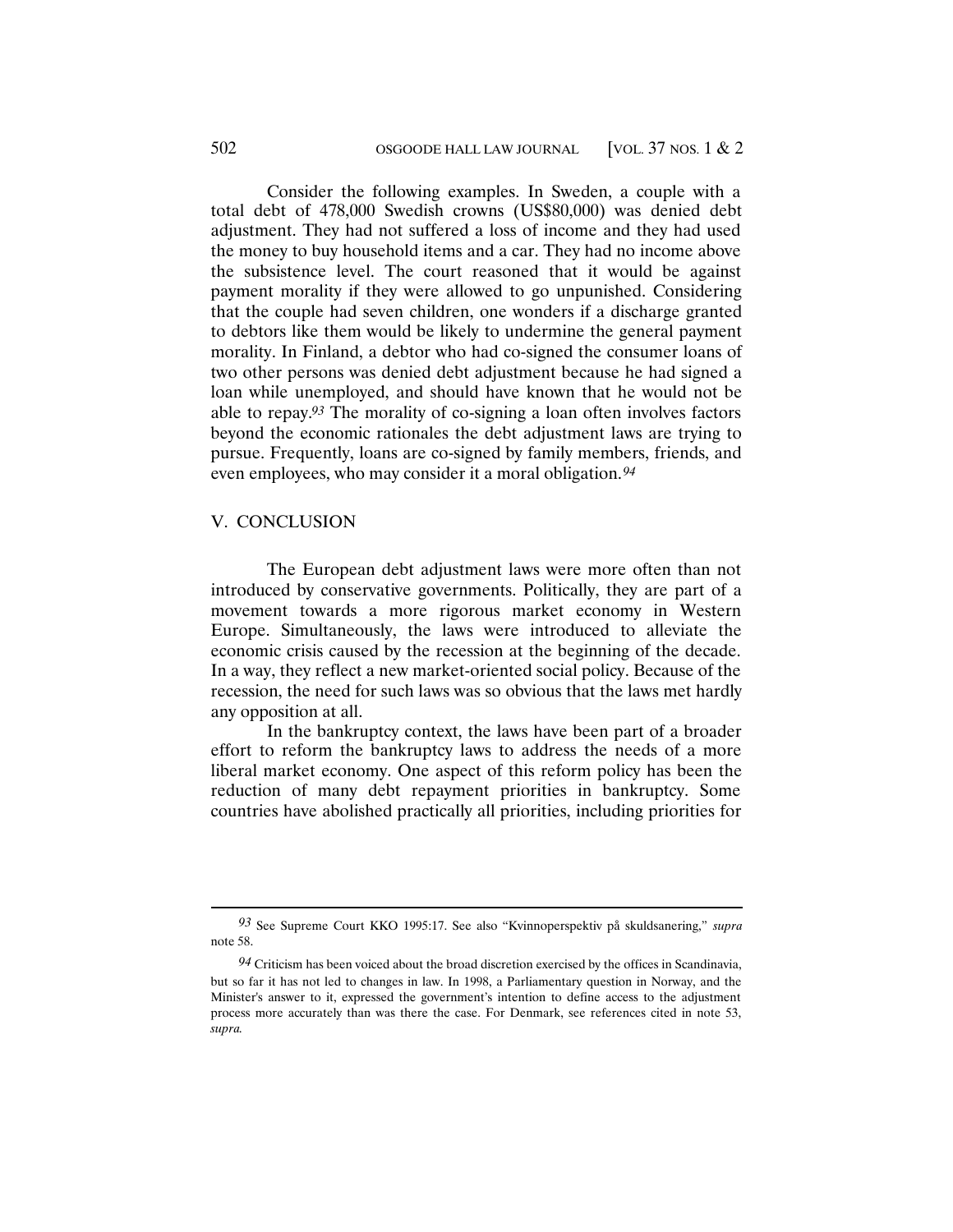Consider the following examples. In Sweden, a couple with a total debt of 478,000 Swedish crowns (US\$80,000) was denied debt adjustment. They had not suffered a loss of income and they had used the money to buy household items and a car. They had no income above the subsistence level. The court reasoned that it would be against payment morality if they were allowed to go unpunished. Considering that the couple had seven children, one wonders if a discharge granted to debtors like them would be likely to undermine the general payment morality. In Finland, a debtor who had co-signed the consumer loans of two other persons was denied debt adjustment because he had signed a loan while unemployed, and should have known that he would not be able to repay.*93* The morality of co-signing a loan often involves factors beyond the economic rationales the debt adjustment laws are trying to pursue. Frequently, loans are co-signed by family members, friends, and even employees, who may consider it a moral obligation.*94*

# V. CONCLUSION

The European debt adjustment laws were more often than not introduced by conservative governments. Politically, they are part of a movement towards a more rigorous market economy in Western Europe. Simultaneously, the laws were introduced to alleviate the economic crisis caused by the recession at the beginning of the decade. In a way, they reflect a new market-oriented social policy. Because of the recession, the need for such laws was so obvious that the laws met hardly any opposition at all.

In the bankruptcy context, the laws have been part of a broader effort to reform the bankruptcy laws to address the needs of a more liberal market economy. One aspect of this reform policy has been the reduction of many debt repayment priorities in bankruptcy. Some countries have abolished practically all priorities, including priorities for

*<sup>93</sup>* See Supreme Court KKO 1995:17. See also "Kvinnoperspektiv på skuldsanering," *supra* note 58.

*<sup>94</sup>* Criticism has been voiced about the broad discretion exercised by the offices in Scandinavia, but so far it has not led to changes in law. In 1998, a Parliamentary question in Norway, and the Minister's answer to it, expressed the government's intention to define access to the adjustment process more accurately than was there the case. For Denmark, see references cited in note 53, *supra*.